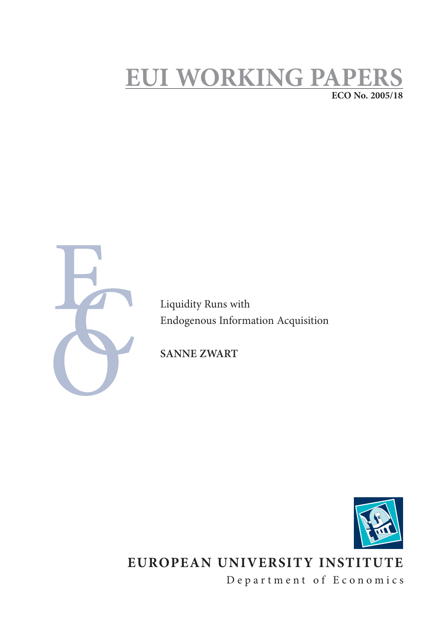## **EUI WORKING PAPE ECO No. 2005/18**



Liquidity Runs with Endogenous Information Acquisition

**SANNE ZWART**



# **EUROPEAN UNIVERSITY INSTITUTE**

Department of Economics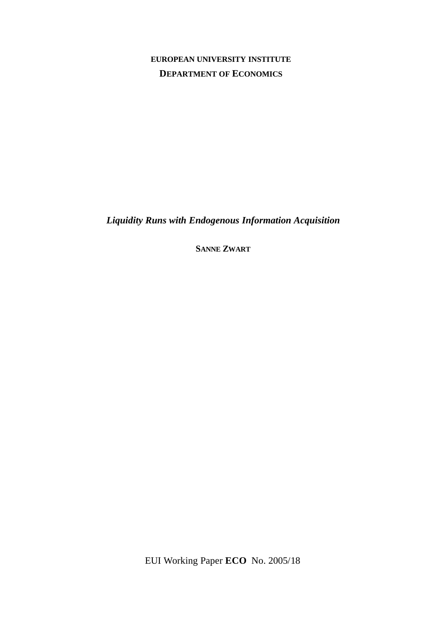## **EUROPEAN UNIVERSITY INSTITUTE DEPARTMENT OF ECONOMICS**

*Liquidity Runs with Endogenous Information Acquisition*

**SANNE ZWART**

EUI Working Paper **ECO** No. 2005/18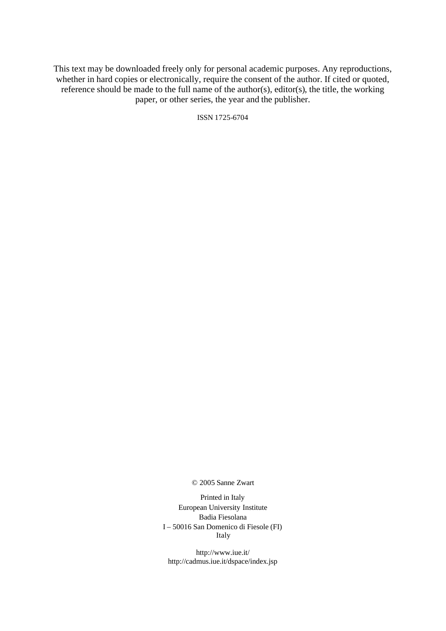This text may be downloaded freely only for personal academic purposes. Any reproductions, whether in hard copies or electronically, require the consent of the author. If cited or quoted, reference should be made to the full name of the author(s), editor(s), the title, the working paper, or other series, the year and the publisher.

ISSN 1725-6704

© 2005 Sanne Zwart

Printed in Italy European University Institute Badia Fiesolana I – 50016 San Domenico di Fiesole (FI) Italy

http://www.iue.it/ http://cadmus.iue.it/dspace/index.jsp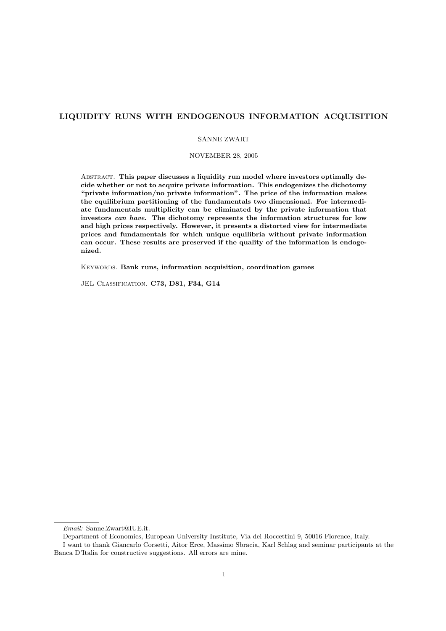### LIQUIDITY RUNS WITH ENDOGENOUS INFORMATION ACQUISITION

#### SANNE ZWART

#### NOVEMBER 28, 2005

ABSTRACT. This paper discusses a liquidity run model where investors optimally decide whether or not to acquire private information. This endogenizes the dichotomy "private information/no private information". The price of the information makes the equilibrium partitioning of the fundamentals two dimensional. For intermediate fundamentals multiplicity can be eliminated by the private information that investors can have. The dichotomy represents the information structures for low and high prices respectively. However, it presents a distorted view for intermediate prices and fundamentals for which unique equilibria without private information can occur. These results are preserved if the quality of the information is endogenized.

KEYWORDS. Bank runs, information acquisition, coordination games

JEL CLASSIFICATION. C73, D81, F34, G14

Email: Sanne.Zwart@IUE.it.

Department of Economics, European University Institute, Via dei Roccettini 9, 50016 Florence, Italy.

I want to thank Giancarlo Corsetti, Aitor Erce, Massimo Sbracia, Karl Schlag and seminar participants at the Banca D'Italia for constructive suggestions. All errors are mine.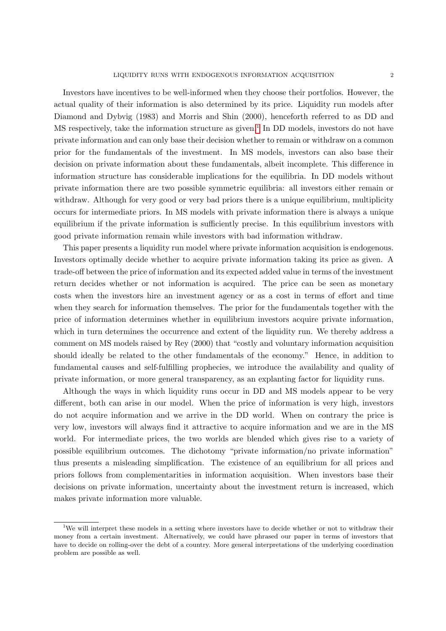Investors have incentives to be well-informed when they choose their portfolios. However, the actual quality of their information is also determined by its price. Liquidity run models after Diamond and Dybvig (1983) and Morris and Shin (2000), henceforth referred to as DD and MS respectively, take the information structure as given.<sup>[1](#page-4-0)</sup> In DD models, investors do not have private information and can only base their decision whether to remain or withdraw on a common prior for the fundamentals of the investment. In MS models, investors can also base their decision on private information about these fundamentals, albeit incomplete. This difference in information structure has considerable implications for the equilibria. In DD models without private information there are two possible symmetric equilibria: all investors either remain or withdraw. Although for very good or very bad priors there is a unique equilibrium, multiplicity occurs for intermediate priors. In MS models with private information there is always a unique equilibrium if the private information is sufficiently precise. In this equilibrium investors with good private information remain while investors with bad information withdraw.

This paper presents a liquidity run model where private information acquisition is endogenous. Investors optimally decide whether to acquire private information taking its price as given. A trade-off between the price of information and its expected added value in terms of the investment return decides whether or not information is acquired. The price can be seen as monetary costs when the investors hire an investment agency or as a cost in terms of effort and time when they search for information themselves. The prior for the fundamentals together with the price of information determines whether in equilibrium investors acquire private information, which in turn determines the occurrence and extent of the liquidity run. We thereby address a comment on MS models raised by Rey (2000) that "costly and voluntary information acquisition should ideally be related to the other fundamentals of the economy." Hence, in addition to fundamental causes and self-fulfilling prophecies, we introduce the availability and quality of private information, or more general transparency, as an explanting factor for liquidity runs.

Although the ways in which liquidity runs occur in DD and MS models appear to be very different, both can arise in our model. When the price of information is very high, investors do not acquire information and we arrive in the DD world. When on contrary the price is very low, investors will always find it attractive to acquire information and we are in the MS world. For intermediate prices, the two worlds are blended which gives rise to a variety of possible equilibrium outcomes. The dichotomy "private information/no private information" thus presents a misleading simplification. The existence of an equilibrium for all prices and priors follows from complementarities in information acquisition. When investors base their decisions on private information, uncertainty about the investment return is increased, which makes private information more valuable.

<span id="page-4-0"></span><sup>&</sup>lt;sup>1</sup>We will interpret these models in a setting where investors have to decide whether or not to withdraw their money from a certain investment. Alternatively, we could have phrased our paper in terms of investors that have to decide on rolling-over the debt of a country. More general interpretations of the underlying coordination problem are possible as well.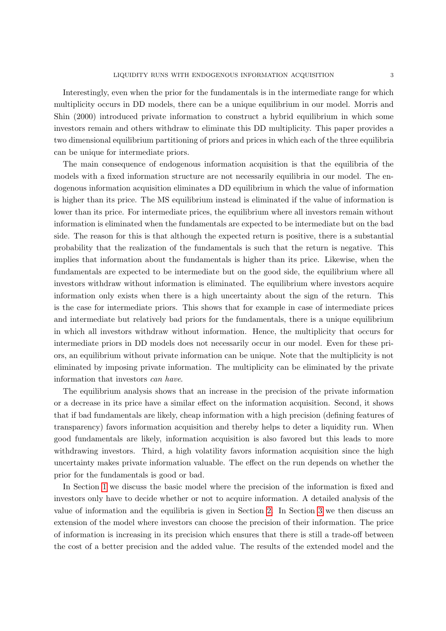Interestingly, even when the prior for the fundamentals is in the intermediate range for which multiplicity occurs in DD models, there can be a unique equilibrium in our model. Morris and Shin (2000) introduced private information to construct a hybrid equilibrium in which some investors remain and others withdraw to eliminate this DD multiplicity. This paper provides a two dimensional equilibrium partitioning of priors and prices in which each of the three equilibria can be unique for intermediate priors.

The main consequence of endogenous information acquisition is that the equilibria of the models with a fixed information structure are not necessarily equilibria in our model. The endogenous information acquisition eliminates a DD equilibrium in which the value of information is higher than its price. The MS equilibrium instead is eliminated if the value of information is lower than its price. For intermediate prices, the equilibrium where all investors remain without information is eliminated when the fundamentals are expected to be intermediate but on the bad side. The reason for this is that although the expected return is positive, there is a substantial probability that the realization of the fundamentals is such that the return is negative. This implies that information about the fundamentals is higher than its price. Likewise, when the fundamentals are expected to be intermediate but on the good side, the equilibrium where all investors withdraw without information is eliminated. The equilibrium where investors acquire information only exists when there is a high uncertainty about the sign of the return. This is the case for intermediate priors. This shows that for example in case of intermediate prices and intermediate but relatively bad priors for the fundamentals, there is a unique equilibrium in which all investors withdraw without information. Hence, the multiplicity that occurs for intermediate priors in DD models does not necessarily occur in our model. Even for these priors, an equilibrium without private information can be unique. Note that the multiplicity is not eliminated by imposing private information. The multiplicity can be eliminated by the private information that investors can have.

The equilibrium analysis shows that an increase in the precision of the private information or a decrease in its price have a similar effect on the information acquisition. Second, it shows that if bad fundamentals are likely, cheap information with a high precision (defining features of transparency) favors information acquisition and thereby helps to deter a liquidity run. When good fundamentals are likely, information acquisition is also favored but this leads to more withdrawing investors. Third, a high volatility favors information acquisition since the high uncertainty makes private information valuable. The effect on the run depends on whether the prior for the fundamentals is good or bad.

In Section [1](#page-6-0) we discuss the basic model where the precision of the information is fixed and investors only have to decide whether or not to acquire information. A detailed analysis of the value of information and the equilibria is given in Section [2.](#page-10-0) In Section [3](#page-16-0) we then discuss an extension of the model where investors can choose the precision of their information. The price of information is increasing in its precision which ensures that there is still a trade-off between the cost of a better precision and the added value. The results of the extended model and the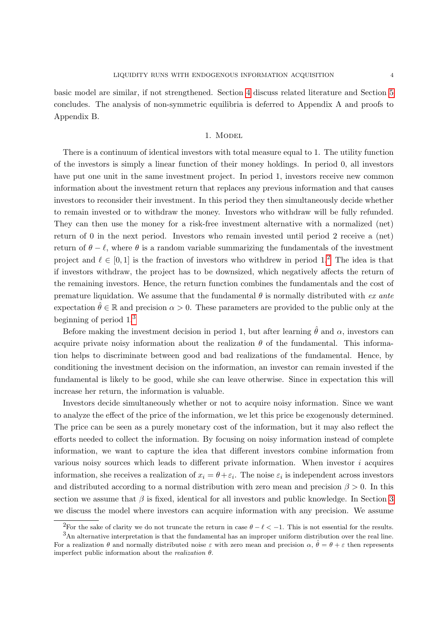basic model are similar, if not strengthened. Section [4](#page-20-0) discuss related literature and Section [5](#page-21-0) concludes. The analysis of non-symmetric equilibria is deferred to Appendix A and proofs to Appendix B.

#### 1. Model

<span id="page-6-0"></span>There is a continuum of identical investors with total measure equal to 1. The utility function of the investors is simply a linear function of their money holdings. In period 0, all investors have put one unit in the same investment project. In period 1, investors receive new common information about the investment return that replaces any previous information and that causes investors to reconsider their investment. In this period they then simultaneously decide whether to remain invested or to withdraw the money. Investors who withdraw will be fully refunded. They can then use the money for a risk-free investment alternative with a normalized (net) return of 0 in the next period. Investors who remain invested until period 2 receive a (net) return of  $\theta - \ell$ , where  $\theta$  is a random variable summarizing the fundamentals of the investment project and  $\ell \in [0, 1]$  is the fraction of investors who withdrew in period 1.<sup>[2](#page-6-1)</sup> The idea is that if investors withdraw, the project has to be downsized, which negatively affects the return of the remaining investors. Hence, the return function combines the fundamentals and the cost of premature liquidation. We assume that the fundamental  $\theta$  is normally distributed with ex ante expectation  $\hat{\theta} \in \mathbb{R}$  and precision  $\alpha > 0$ . These parameters are provided to the public only at the beginning of period 1.[3](#page-6-2)

Before making the investment decision in period 1, but after learning  $\hat{\theta}$  and  $\alpha$ , investors can acquire private noisy information about the realization  $\theta$  of the fundamental. This information helps to discriminate between good and bad realizations of the fundamental. Hence, by conditioning the investment decision on the information, an investor can remain invested if the fundamental is likely to be good, while she can leave otherwise. Since in expectation this will increase her return, the information is valuable.

Investors decide simultaneously whether or not to acquire noisy information. Since we want to analyze the effect of the price of the information, we let this price be exogenously determined. The price can be seen as a purely monetary cost of the information, but it may also reflect the efforts needed to collect the information. By focusing on noisy information instead of complete information, we want to capture the idea that different investors combine information from various noisy sources which leads to different private information. When investor  $i$  acquires information, she receives a realization of  $x_i = \theta + \varepsilon_i$ . The noise  $\varepsilon_i$  is independent across investors and distributed according to a normal distribution with zero mean and precision  $\beta > 0$ . In this section we assume that  $\beta$  is fixed, identical for all investors and public knowledge. In Section [3](#page-16-0) we discuss the model where investors can acquire information with any precision. We assume

<span id="page-6-2"></span><span id="page-6-1"></span><sup>&</sup>lt;sup>2</sup>For the sake of clarity we do not truncate the return in case  $\theta - \ell < -1$ . This is not essential for the results.

<sup>3</sup>An alternative interpretation is that the fundamental has an improper uniform distribution over the real line. For a realization  $\theta$  and normally distributed noise  $\varepsilon$  with zero mean and precision  $\alpha$ ,  $\hat{\theta} = \theta + \varepsilon$  then represents imperfect public information about the *realization*  $\theta$ .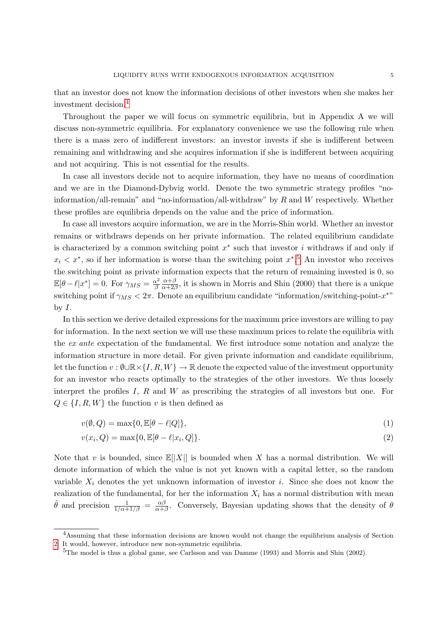that an investor does not know the information decisions of other investors when she makes her investment decision.[4](#page-7-0)

Throughout the paper we will focus on symmetric equilibria, but in Appendix A we will discuss non-symmetric equilibria. For explanatory convenience we use the following rule when there is a mass zero of indifferent investors: an investor invests if she is indifferent between remaining and withdrawing and she acquires information if she is indifferent between acquiring and not acquiring. This is not essential for the results.

In case all investors decide not to acquire information, they have no means of coordination and we are in the Diamond-Dybvig world. Denote the two symmetric strategy profiles "noinformation/all-remain" and "no-information/all-withdraw" by  $R$  and  $W$  respectively. Whether these profiles are equilibria depends on the value and the price of information.

In case all investors acquire information, we are in the Morris-Shin world. Whether an investor remains or withdraws depends on her private information. The related equilibrium candidate is characterized by a common switching point  $x^*$  such that investor i withdraws if and only if  $x_i < x^*$ , so if her information is worse than the switching point  $x^{*,5}$  $x^{*,5}$  $x^{*,5}$ . An investor who receives the switching point as private information expects that the return of remaining invested is 0, so  $\mathbb{E}[\theta - \ell |x^*] = 0.$  For  $\gamma_{MS} = \frac{\alpha^2}{\beta}$ β  $\alpha + \beta$  $\frac{\alpha+\beta}{\alpha+2\beta}$ , it is shown in Morris and Shin (2000) that there is a unique switching point if  $\gamma_{MS} < 2\pi$ . Denote an equilibrium candidate "information/switching-point- $x^*$ " by  $I$ .

In this section we derive detailed expressions for the maximum price investors are willing to pay for information. In the next section we will use these maximum prices to relate the equilibria with the ex ante expectation of the fundamental. We first introduce some notation and analyze the information structure in more detail. For given private information and candidate equilibrium, let the function  $v : \emptyset \cup \mathbb{R} \times \{I, R, W\} \to \mathbb{R}$  denote the expected value of the investment opportunity for an investor who reacts optimally to the strategies of the other investors. We thus loosely interpret the profiles  $I$ ,  $R$  and  $W$  as prescribing the strategies of all investors but one. For  $Q \in \{I, R, W\}$  the function v is then defined as

$$
v(\emptyset, Q) = \max\{0, \mathbb{E}[\theta - \ell|Q]\},\tag{1}
$$

$$
v(x_i, Q) = \max\{0, \mathbb{E}[\theta - \ell | x_i, Q]\}.
$$
\n
$$
(2)
$$

Note that v is bounded, since  $\mathbb{E}[|X|]$  is bounded when X has a normal distribution. We will denote information of which the value is not yet known with a capital letter, so the random variable  $X_i$  denotes the yet unknown information of investor i. Since she does not know the realization of the fundamental, for her the information  $X_i$  has a normal distribution with mean  $\hat{\theta}$  and precision  $\frac{1}{1/\alpha+1/\beta} = \frac{\alpha\beta}{\alpha+\beta}$  $\frac{\alpha\beta}{\alpha+\beta}$ . Conversely, Bayesian updating shows that the density of  $\theta$ 

<span id="page-7-0"></span><sup>&</sup>lt;sup>4</sup>Assuming that these information decisions are known would not change the equilibrium analysis of Section [2.](#page-10-0) It would, however, introduce new non-symmetric equilibria.

<span id="page-7-1"></span><sup>&</sup>lt;sup>5</sup>The model is thus a global game, see Carlsson and van Damme (1993) and Morris and Shin (2002).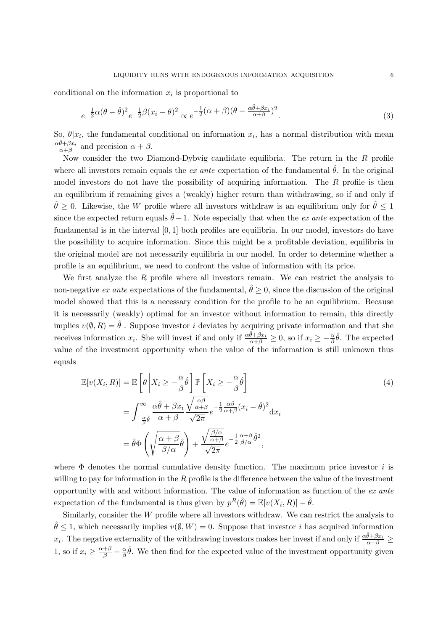conditional on the information  $x_i$  is proportional to

$$
e^{-\frac{1}{2}\alpha(\theta-\hat{\theta})^2}e^{-\frac{1}{2}\beta(x_i-\theta)^2} \propto e^{-\frac{1}{2}(\alpha+\beta)(\theta-\frac{\alpha\hat{\theta}+\beta x_i}{\alpha+\beta})^2}.
$$
\n(3)

So,  $\theta | x_i$ , the fundamental conditional on information  $x_i$ , has a normal distribution with mean  $\frac{\alpha \hat{\theta} + \beta x_i}{\alpha + \beta}$  and precision  $\alpha + \beta$ .

Now consider the two Diamond-Dybvig candidate equilibria. The return in the  $R$  profile where all investors remain equals the extension of the fundamental  $\hat{\theta}$ . In the original model investors do not have the possibility of acquiring information. The R profile is then an equilibrium if remaining gives a (weakly) higher return than withdrawing, so if and only if  $\hat{\theta} \geq 0$ . Likewise, the W profile where all investors withdraw is an equilibrium only for  $\hat{\theta} \leq 1$ since the expected return equals  $\hat{\theta}$  −1. Note especially that when the *ex ante* expectation of the fundamental is in the interval [0, 1] both profiles are equilibria. In our model, investors do have the possibility to acquire information. Since this might be a profitable deviation, equilibria in the original model are not necessarily equilibria in our model. In order to determine whether a profile is an equilibrium, we need to confront the value of information with its price.

We first analyze the  $R$  profile where all investors remain. We can restrict the analysis to non-negative ex ante expectations of the fundamental,  $\hat{\theta} \geq 0$ , since the discussion of the original model showed that this is a necessary condition for the profile to be an equilibrium. Because it is necessarily (weakly) optimal for an investor without information to remain, this directly implies  $v(\emptyset, R) = \hat{\theta}$ . Suppose investor *i* deviates by acquiring private information and that she receives information  $x_i$ . She will invest if and only if  $\frac{\alpha \hat{\theta} + \beta x_i}{\alpha + \beta} \ge 0$ , so if  $x_i \ge -\frac{\alpha}{\beta} \hat{\theta}$ . The expected value of the investment opportunity when the value of the information is still unknown thus equals

<span id="page-8-0"></span>
$$
\mathbb{E}[v(X_i, R)] = \mathbb{E}\left[\theta \left| X_i \ge -\frac{\alpha}{\beta} \hat{\theta} \right] \mathbb{P}\left[X_i \ge -\frac{\alpha}{\beta} \hat{\theta}\right] \right]
$$
\n
$$
= \int_{-\frac{\alpha}{\beta} \hat{\theta}}^{\infty} \frac{\alpha \hat{\theta} + \beta x_i}{\alpha + \beta} \frac{\sqrt{\frac{\alpha \beta}{\alpha + \beta}}}{\sqrt{2\pi}} e^{-\frac{1}{2} \frac{\alpha \beta}{\alpha + \beta} (x_i - \hat{\theta})^2} dx_i
$$
\n
$$
= \hat{\theta} \Phi \left(\sqrt{\frac{\alpha + \beta}{\beta/\alpha}} \hat{\theta}\right) + \frac{\sqrt{\frac{\beta}{\alpha + \beta}}}{\sqrt{2\pi}} e^{-\frac{1}{2} \frac{\alpha + \beta}{\beta/\alpha}} \hat{\theta}^2,
$$
\n(4)

where  $\Phi$  denotes the normal cumulative density function. The maximum price investor i is willing to pay for information in the  $R$  profile is the difference between the value of the investment opportunity with and without information. The value of information as function of the  $ex$  ante expectation of the fundamental is thus given by  $p^R(\hat{\theta}) = \mathbb{E}[v(X_i, R)] - \hat{\theta}$ .

Similarly, consider the W profile where all investors withdraw. We can restrict the analysis to  $\hat{\theta} \leq 1$ , which necessarily implies  $v(\emptyset, W) = 0$ . Suppose that investor *i* has acquired information  $x_i$ . The negative externality of the withdrawing investors makes her invest if and only if  $\frac{\alpha \hat{\theta} + \beta x_i}{\alpha + \beta} \ge$ 1, so if  $x_i \geq \frac{\alpha+\beta}{\beta} - \frac{\alpha}{\beta}$  $\frac{\alpha}{\beta}\hat{\theta}$ . We then find for the expected value of the investment opportunity given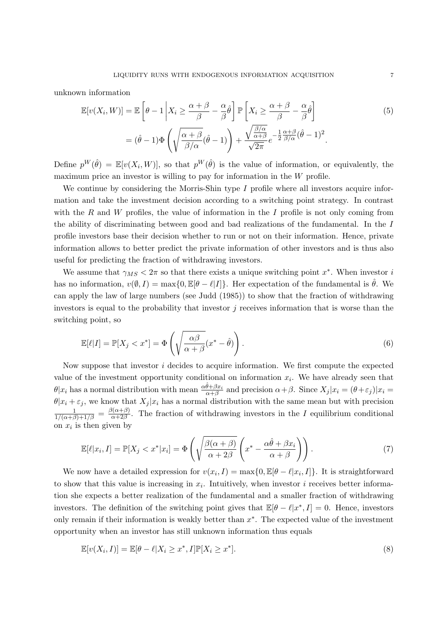unknown information

<span id="page-9-1"></span>
$$
\mathbb{E}[v(X_i, W)] = \mathbb{E}\left[\theta - 1 \middle| X_i \ge \frac{\alpha + \beta}{\beta} - \frac{\alpha}{\beta} \hat{\theta} \right] \mathbb{P}\left[X_i \ge \frac{\alpha + \beta}{\beta} - \frac{\alpha}{\beta} \hat{\theta}\right]
$$
  
=  $(\hat{\theta} - 1)\Phi\left(\sqrt{\frac{\alpha + \beta}{\beta/\alpha}}(\hat{\theta} - 1)\right) + \frac{\sqrt{\frac{\beta/\alpha}{\alpha + \beta}}}{\sqrt{2\pi}}e^{-\frac{1}{2}\frac{\alpha + \beta}{\beta/\alpha}}(\hat{\theta} - 1)^2.$  (5)

Define  $p^W(\hat{\theta}) = \mathbb{E}[v(X_i, W)]$ , so that  $p^W(\hat{\theta})$  is the value of information, or equivalently, the maximum price an investor is willing to pay for information in the W profile.

We continue by considering the Morris-Shin type  $I$  profile where all investors acquire information and take the investment decision according to a switching point strategy. In contrast with the R and W profiles, the value of information in the I profile is not only coming from the ability of discriminating between good and bad realizations of the fundamental. In the I profile investors base their decision whether to run or not on their information. Hence, private information allows to better predict the private information of other investors and is thus also useful for predicting the fraction of withdrawing investors.

We assume that  $\gamma_{MS} < 2\pi$  so that there exists a unique switching point  $x^*$ . When investor i has no information,  $v(\emptyset, I) = \max\{0, \mathbb{E}[\theta - \ell|I]\}\.$  Her expectation of the fundamental is  $\hat{\theta}$ . We can apply the law of large numbers (see Judd (1985)) to show that the fraction of withdrawing investors is equal to the probability that investor  $j$  receives information that is worse than the switching point, so

<span id="page-9-2"></span>
$$
\mathbb{E}[\ell|I] = \mathbb{P}[X_j < x^*] = \Phi\left(\sqrt{\frac{\alpha \beta}{\alpha + \beta}}(x^* - \hat{\theta})\right). \tag{6}
$$

Now suppose that investor  $i$  decides to acquire information. We first compute the expected value of the investment opportunity conditional on information  $x_i$ . We have already seen that  $\theta | x_i$  has a normal distribution with mean  $\frac{\alpha \hat{\theta} + \beta x_i}{\alpha + \beta}$  and precision  $\alpha + \beta$ . Since  $X_j | x_i = (\theta + \varepsilon_j) | x_i =$  $\theta |x_i + \varepsilon_j$ , we know that  $X_j |x_i$  has a normal distribution with the same mean but with precision  $\frac{1}{1/(\alpha+\beta)+1/\beta} = \frac{\beta(\alpha+\beta)}{\alpha+2\beta}$  $\frac{\partial(\alpha+\beta)}{\partial(\alpha+2\beta)}$ . The fraction of withdrawing investors in the I equilibrium conditional on  $x_i$  is then given by

<span id="page-9-0"></span>
$$
\mathbb{E}[\ell|x_i, I] = \mathbb{P}[X_j < x^*|x_i] = \Phi\left(\sqrt{\frac{\beta(\alpha+\beta)}{\alpha+2\beta}} \left(x^* - \frac{\alpha\hat{\theta} + \beta x_i}{\alpha+\beta}\right)\right). \tag{7}
$$

We now have a detailed expression for  $v(x_i, I) = \max\{0, \mathbb{E}[\theta - \ell | x_i, I]\}.$  It is straightforward to show that this value is increasing in  $x_i$ . Intuitively, when investor i receives better information she expects a better realization of the fundamental and a smaller fraction of withdrawing investors. The definition of the switching point gives that  $\mathbb{E}[\theta - \ell | x^*, I] = 0$ . Hence, investors only remain if their information is weakly better than  $x^*$ . The expected value of the investment opportunity when an investor has still unknown information thus equals

$$
\mathbb{E}[v(X_i, I)] = \mathbb{E}[\theta - \ell | X_i \ge x^*, I] \mathbb{P}[X_i \ge x^*].
$$
\n(8)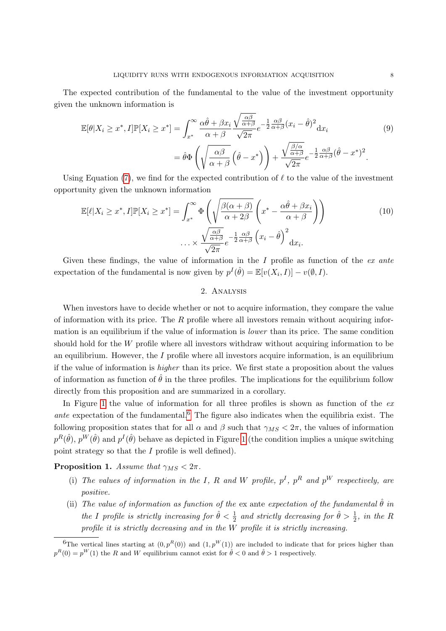The expected contribution of the fundamental to the value of the investment opportunity given the unknown information is

$$
\mathbb{E}[\theta|X_i \ge x^*, I]\mathbb{P}[X_i \ge x^*] = \int_{x^*}^{\infty} \frac{\alpha \hat{\theta} + \beta x_i}{\alpha + \beta} \frac{\sqrt{\frac{\alpha \beta}{\alpha + \beta}}}{\sqrt{2\pi}} e^{-\frac{1}{2} \frac{\alpha \beta}{\alpha + \beta} (x_i - \hat{\theta})^2} dx_i
$$
\n
$$
= \hat{\theta} \Phi \left( \sqrt{\frac{\alpha \beta}{\alpha + \beta}} \left( \hat{\theta} - x^* \right) \right) + \frac{\sqrt{\frac{\beta}{\alpha + \beta}}}{\sqrt{2\pi}} e^{-\frac{1}{2} \frac{\alpha \beta}{\alpha + \beta} (\hat{\theta} - x^*)^2}.
$$
\n(9)

Using Equation [\(7\)](#page-9-0), we find for the expected contribution of  $\ell$  to the value of the investment opportunity given the unknown information

$$
\mathbb{E}[\ell|X_i \ge x^*, I]\mathbb{P}[X_i \ge x^*] = \int_{x^*}^{\infty} \Phi\left(\sqrt{\frac{\beta(\alpha+\beta)}{\alpha+2\beta}} \left(x^* - \frac{\alpha\hat{\theta} + \beta x_i}{\alpha+\beta}\right)\right)
$$

$$
\dots \times \frac{\sqrt{\frac{\alpha\beta}{\alpha+\beta}}e^{-\frac{1}{2}\frac{\alpha\beta}{\alpha+\beta}} \left(x_i - \hat{\theta}\right)^2}{\sqrt{2\pi}}.
$$
(10)

Given these findings, the value of information in the I profile as function of the  $ex$  ante expectation of the fundamental is now given by  $p^I(\hat{\theta}) = \mathbb{E}[v(X_i, I)] - v(\emptyset, I)$ .

#### <span id="page-10-3"></span>2. Analysis

<span id="page-10-0"></span>When investors have to decide whether or not to acquire information, they compare the value of information with its price. The  $R$  profile where all investors remain without acquiring information is an equilibrium if the value of information is lower than its price. The same condition should hold for the W profile where all investors withdraw without acquiring information to be an equilibrium. However, the  $I$  profile where all investors acquire information, is an equilibrium if the value of information is higher than its price. We first state a proposition about the values of information as function of  $\hat{\theta}$  in the three profiles. The implications for the equilibrium follow directly from this proposition and are summarized in a corollary.

In Figure [1](#page-11-0) the value of information for all three profiles is shown as function of the  $ex$ ante expectation of the fundamental.<sup>[6](#page-10-1)</sup> The figure also indicates when the equilibria exist. The following proposition states that for all  $\alpha$  and  $\beta$  such that  $\gamma_{MS} < 2\pi$ , the values of information  $p^R(\hat{\theta}), p^W(\hat{\theta})$  and  $p^I(\hat{\theta})$  behave as depicted in Figure [1](#page-11-0) (the condition implies a unique switching point strategy so that the I profile is well defined).

<span id="page-10-2"></span>**Proposition 1.** Assume that  $\gamma_{MS} < 2\pi$ .

- (i) The values of information in the I, R and W profile,  $p^I$ ,  $p^R$  and  $p^W$  respectively, are positive.
- (ii) The value of information as function of the ex ante expectation of the fundamental  $\hat{\theta}$  in the I profile is strictly increasing for  $\hat{\theta} < \frac{1}{2}$  and strictly decreasing for  $\hat{\theta} > \frac{1}{2}$ , in the R profile it is strictly decreasing and in the W profile it is strictly increasing.

<span id="page-10-1"></span><sup>&</sup>lt;sup>6</sup>The vertical lines starting at  $(0, p^R(0))$  and  $(1, p^W(1))$  are included to indicate that for prices higher than  $p^{R}(0) = p^{W}(1)$  the R and W equilibrium cannot exist for  $\hat{\theta} < 0$  and  $\hat{\theta} > 1$  respectively.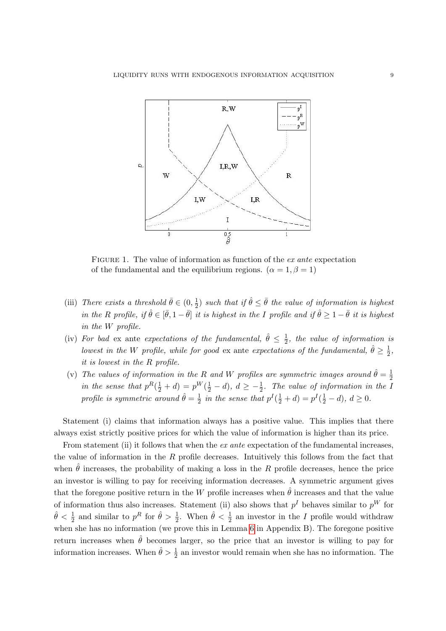

<span id="page-11-0"></span>FIGURE 1. The value of information as function of the ex ante expectation of the fundamental and the equilibrium regions.  $(\alpha = 1, \beta = 1)$ 

- (iii) There exists a threshold  $\bar{\theta} \in (0, \frac{1}{2})$  $\frac{1}{2}$ ) such that if  $\hat{\theta} \leq \bar{\theta}$  the value of information is highest in the R profile, if  $\hat{\theta} \in [\bar{\theta}, 1 - \bar{\theta}]$  it is highest in the I profile and if  $\hat{\theta} \geq 1 - \bar{\theta}$  it is highest in the W profile.
- (iv) For bad ex ante expectations of the fundamental,  $\hat{\theta} \leq \frac{1}{2}$  $\frac{1}{2}$ , the value of information is lowest in the W profile, while for good ex ante expectations of the fundamental,  $\hat{\theta} \geq \frac{1}{2}$  $\frac{1}{2}$ , it is lowest in the R profile.
- (v) The values of information in the R and W profiles are symmetric images around  $\hat{\theta} = \frac{1}{2}$ 2 in the sense that  $p^R(\frac{1}{2}+d) = p^W(\frac{1}{2}-d)$ ,  $d \geq -\frac{1}{2}$ . The value of information in the I profile is symmetric around  $\hat{\theta} = \frac{1}{2}$  $\frac{1}{2}$  in the sense that  $p^I(\frac{1}{2} + d) = p^I(\frac{1}{2} - d), d \ge 0.$

Statement (i) claims that information always has a positive value. This implies that there always exist strictly positive prices for which the value of information is higher than its price.

From statement (ii) it follows that when the *ex ante* expectation of the fundamental increases, the value of information in the  $R$  profile decreases. Intuitively this follows from the fact that when  $\hat{\theta}$  increases, the probability of making a loss in the R profile decreases, hence the price an investor is willing to pay for receiving information decreases. A symmetric argument gives that the foregone positive return in the W profile increases when  $\hat{\theta}$  increases and that the value of information thus also increases. Statement (ii) also shows that  $p<sup>I</sup>$  behaves similar to  $p<sup>W</sup>$  for  $\hat{\theta} < \frac{1}{2}$  and similar to  $p^R$  for  $\hat{\theta} > \frac{1}{2}$ . When  $\hat{\theta} < \frac{1}{2}$  an investor in the I profile would withdraw when she has no information (we prove this in Lemma [6](#page-25-0) in Appendix B). The foregone positive return increases when  $\hat{\theta}$  becomes larger, so the price that an investor is willing to pay for information increases. When  $\hat{\theta} > \frac{1}{2}$  an investor would remain when she has no information. The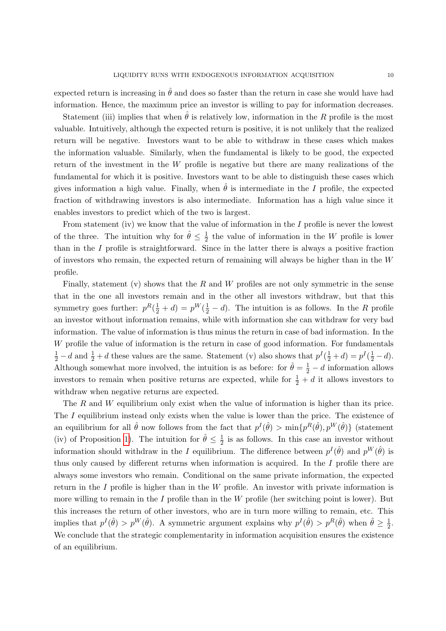expected return is increasing in  $\hat{\theta}$  and does so faster than the return in case she would have had information. Hence, the maximum price an investor is willing to pay for information decreases.

Statement (iii) implies that when  $\hat{\theta}$  is relatively low, information in the R profile is the most valuable. Intuitively, although the expected return is positive, it is not unlikely that the realized return will be negative. Investors want to be able to withdraw in these cases which makes the information valuable. Similarly, when the fundamental is likely to be good, the expected return of the investment in the W profile is negative but there are many realizations of the fundamental for which it is positive. Investors want to be able to distinguish these cases which gives information a high value. Finally, when  $\hat{\theta}$  is intermediate in the I profile, the expected fraction of withdrawing investors is also intermediate. Information has a high value since it enables investors to predict which of the two is largest.

From statement (iv) we know that the value of information in the  $I$  profile is never the lowest of the three. The intuition why for  $\hat{\theta} \leq \frac{1}{2}$  $\frac{1}{2}$  the value of information in the W profile is lower than in the  $I$  profile is straightforward. Since in the latter there is always a positive fraction of investors who remain, the expected return of remaining will always be higher than in the  $W$ profile.

Finally, statement (v) shows that the R and W profiles are not only symmetric in the sense that in the one all investors remain and in the other all investors withdraw, but that this symmetry goes further:  $p^R(\frac{1}{2} + d) = p^W(\frac{1}{2} - d)$ . The intuition is as follows. In the R profile an investor without information remains, while with information she can withdraw for very bad information. The value of information is thus minus the return in case of bad information. In the W profile the value of information is the return in case of good information. For fundamentals  $\frac{1}{2} - d$  and  $\frac{1}{2} + d$  these values are the same. Statement (v) also shows that  $p^I(\frac{1}{2} + d) = p^I(\frac{1}{2} - d)$ . Although somewhat more involved, the intuition is as before: for  $\hat{\theta} = \frac{1}{2} - d$  information allows investors to remain when positive returns are expected, while for  $\frac{1}{2} + d$  it allows investors to withdraw when negative returns are expected.

The R and W equilibrium only exist when the value of information is higher than its price. The I equilibrium instead only exists when the value is lower than the price. The existence of an equilibrium for all  $\hat{\theta}$  now follows from the fact that  $p^I(\hat{\theta}) > \min\{p^R(\hat{\theta}), p^W(\hat{\theta})\}$  (statement (iv) of Proposition [1\)](#page-10-2). The intuition for  $\hat{\theta} \leq \frac{1}{2}$  $\frac{1}{2}$  is as follows. In this case an investor without information should withdraw in the I equilibrium. The difference between  $p^{I}(\hat{\theta})$  and  $p^{W}(\hat{\theta})$  is thus only caused by different returns when information is acquired. In the  $I$  profile there are always some investors who remain. Conditional on the same private information, the expected return in the  $I$  profile is higher than in the  $W$  profile. An investor with private information is more willing to remain in the  $I$  profile than in the  $W$  profile (her switching point is lower). But this increases the return of other investors, who are in turn more willing to remain, etc. This implies that  $p^I(\hat{\theta}) > p^W(\hat{\theta})$ . A symmetric argument explains why  $p^I(\hat{\theta}) > p^R(\hat{\theta})$  when  $\hat{\theta} \ge \frac{1}{2}$  $rac{1}{2}$ . We conclude that the strategic complementarity in information acquisition ensures the existence of an equilibrium.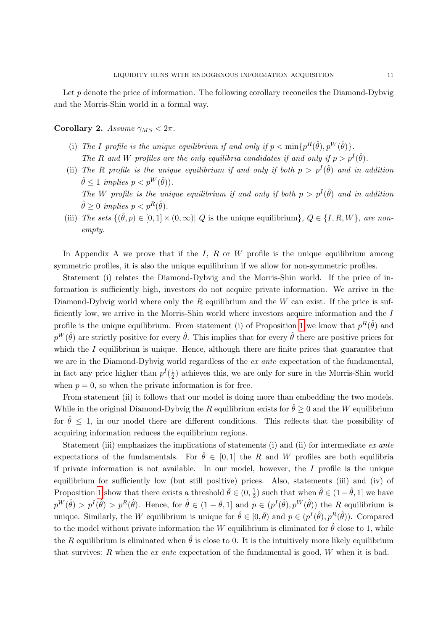Let  $p$  denote the price of information. The following corollary reconciles the Diamond-Dybvig and the Morris-Shin world in a formal way.

<span id="page-13-0"></span>Corollary 2. Assume  $\gamma_{MS} < 2\pi$ .

- (i) The I profile is the unique equilibrium if and only if  $p < \min\{p^R(\hat{\theta}), p^W(\hat{\theta})\}.$ The R and W profiles are the only equilibria candidates if and only if  $p > p<sup>I</sup>(\hat{\theta})$ .
- (ii) The R profile is the unique equilibrium if and only if both  $p > p<sup>I</sup>(\hat{\theta})$  and in addition  $\hat{\theta} \leq 1$  implies  $p < p^W(\hat{\theta})$ . The W profile is the unique equilibrium if and only if both  $p > p<sup>I</sup>(\hat{\theta})$  and in addition  $\hat{\theta} \geq 0$  implies  $p < p^R(\hat{\theta})$ .
- (iii) The sets  $\{(\hat{\theta}, p) \in [0, 1] \times (0, \infty) | Q$  is the unique equilibrium},  $Q \in \{I, R, W\}$ , are nonempty.

In Appendix A we prove that if the I, R or W profile is the unique equilibrium among symmetric profiles, it is also the unique equilibrium if we allow for non-symmetric profiles.

Statement (i) relates the Diamond-Dybvig and the Morris-Shin world. If the price of information is sufficiently high, investors do not acquire private information. We arrive in the Diamond-Dybvig world where only the  $R$  equilibrium and the  $W$  can exist. If the price is sufficiently low, we arrive in the Morris-Shin world where investors acquire information and the I profile is the unique equilibrium. From statement (i) of Proposition [1](#page-10-2) we know that  $p^R(\hat{\theta})$  and  $p^W(\hat{\theta})$  are strictly positive for every  $\hat{\theta}$ . This implies that for every  $\hat{\theta}$  there are positive prices for which the  $I$  equilibrium is unique. Hence, although there are finite prices that guarantee that we are in the Diamond-Dybvig world regardless of the extension of the fundamental, in fact any price higher than  $p^I(\frac{1}{2})$  $\frac{1}{2}$ ) achieves this, we are only for sure in the Morris-Shin world when  $p = 0$ , so when the private information is for free.

From statement (ii) it follows that our model is doing more than embedding the two models. While in the original Diamond-Dybvig the R equilibrium exists for  $\hat{\theta} \ge 0$  and the W equilibrium for  $\hat{\theta} \leq 1$ , in our model there are different conditions. This reflects that the possibility of acquiring information reduces the equilibrium regions.

Statement (iii) emphasizes the implications of statements (i) and (ii) for intermediate  $ex$  ante expectations of the fundamentals. For  $\hat{\theta} \in [0,1]$  the R and W profiles are both equilibria if private information is not available. In our model, however, the  $I$  profile is the unique equilibrium for sufficiently low (but still positive) prices. Also, statements (iii) and (iv) of Proposition [1](#page-10-2) show that there exists a threshold  $\bar{\theta} \in (0, \frac{1}{2})$  $(\frac{1}{2})$  such that when  $\hat{\theta} \in (1 - \hat{\theta}, 1]$  we have  $p^W(\hat{\theta}) > p^I(\hat{\theta}) > p^R(\hat{\theta})$ . Hence, for  $\hat{\theta} \in (1 - \bar{\theta}, 1]$  and  $p \in (p^I(\hat{\theta}), p^W(\hat{\theta}))$  the R equilibrium is unique. Similarly, the W equilibrium is unique for  $\hat{\theta} \in [0,\bar{\theta})$  and  $p \in (p^{I}(\hat{\theta}), p^{R}(\hat{\theta}))$ . Compared to the model without private information the W equilibrium is eliminated for  $\hat{\theta}$  close to 1, while the R equilibrium is eliminated when  $\hat{\theta}$  is close to 0. It is the intuitively more likely equilibrium that survives: R when the ex ante expectation of the fundamental is good,  $W$  when it is bad.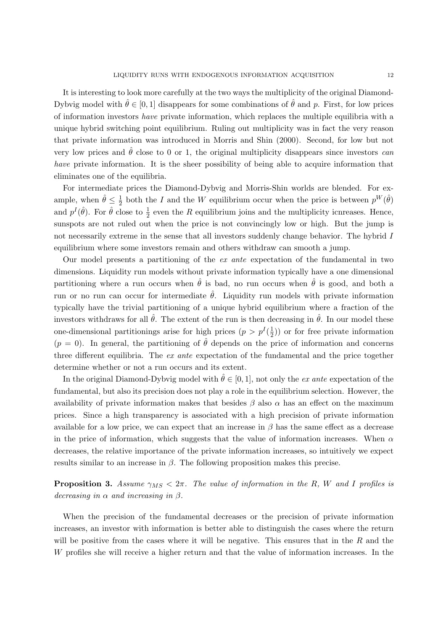It is interesting to look more carefully at the two ways the multiplicity of the original Diamond-Dybvig model with  $\hat{\theta} \in [0, 1]$  disappears for some combinations of  $\hat{\theta}$  and p. First, for low prices of information investors have private information, which replaces the multiple equilibria with a unique hybrid switching point equilibrium. Ruling out multiplicity was in fact the very reason that private information was introduced in Morris and Shin (2000). Second, for low but not very low prices and  $\hat{\theta}$  close to 0 or 1, the original multiplicity disappears since investors can have private information. It is the sheer possibility of being able to acquire information that eliminates one of the equilibria.

For intermediate prices the Diamond-Dybvig and Morris-Shin worlds are blended. For example, when  $\hat{\theta} \leq \frac{1}{2}$  $\frac{1}{2}$  both the I and the W equilibrium occur when the price is between  $p^W(\hat{\theta})$ and  $p^I(\hat{\theta})$ . For  $\hat{\theta}$  close to  $\frac{1}{2}$  even the R equilibrium joins and the multiplicity icnreases. Hence, sunspots are not ruled out when the price is not convincingly low or high. But the jump is not necessarily extreme in the sense that all investors suddenly change behavior. The hybrid  $I$ equilibrium where some investors remain and others withdraw can smooth a jump.

Our model presents a partitioning of the ex ante expectation of the fundamental in two dimensions. Liquidity run models without private information typically have a one dimensional partitioning where a run occurs when  $\hat{\theta}$  is bad, no run occurs when  $\hat{\theta}$  is good, and both a run or no run can occur for intermediate  $\hat{\theta}$ . Liquidity run models with private information typically have the trivial partitioning of a unique hybrid equilibrium where a fraction of the investors withdraws for all  $\hat{\theta}$ . The extent of the run is then decreasing in  $\hat{\theta}$ . In our model these one-dimensional partitionings arise for high prices  $(p > p<sup>I</sup>(\frac{1}{2}))$  $(\frac{1}{2})$  or for free private information  $(p = 0)$ . In general, the partitioning of  $\hat{\theta}$  depends on the price of information and concerns three different equilibria. The ex ante expectation of the fundamental and the price together determine whether or not a run occurs and its extent.

In the original Diamond-Dybvig model with  $\hat{\theta} \in [0, 1]$ , not only the *ex ante* expectation of the fundamental, but also its precision does not play a role in the equilibrium selection. However, the availability of private information makes that besides  $\beta$  also  $\alpha$  has an effect on the maximum prices. Since a high transparency is associated with a high precision of private information available for a low price, we can expect that an increase in  $\beta$  has the same effect as a decrease in the price of information, which suggests that the value of information increases. When  $\alpha$ decreases, the relative importance of the private information increases, so intuitively we expect results similar to an increase in  $\beta$ . The following proposition makes this precise.

<span id="page-14-0"></span>**Proposition 3.** Assume  $\gamma_{MS} < 2\pi$ . The value of information in the R, W and I profiles is decreasing in  $\alpha$  and increasing in  $\beta$ .

When the precision of the fundamental decreases or the precision of private information increases, an investor with information is better able to distinguish the cases where the return will be positive from the cases where it will be negative. This ensures that in the  $R$  and the W profiles she will receive a higher return and that the value of information increases. In the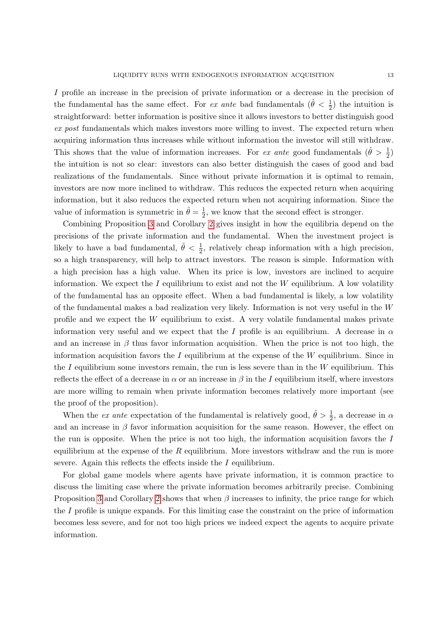I profile an increase in the precision of private information or a decrease in the precision of the fundamental has the same effect. For ex ante bad fundamentals  $(\hat{\theta} < \frac{1}{2})$  the intuition is straightforward: better information is positive since it allows investors to better distinguish good ex post fundamentals which makes investors more willing to invest. The expected return when acquiring information thus increases while without information the investor will still withdraw. This shows that the value of information increases. For ex ante good fundamentals  $(\hat{\theta} > \frac{1}{2})$ the intuition is not so clear: investors can also better distinguish the cases of good and bad realizations of the fundamentals. Since without private information it is optimal to remain, investors are now more inclined to withdraw. This reduces the expected return when acquiring information, but it also reduces the expected return when not acquiring information. Since the value of information is symmetric in  $\hat{\theta} = \frac{1}{2}$  $\frac{1}{2}$ , we know that the second effect is stronger.

Combining Proposition [3](#page-14-0) and Corollary [2](#page-13-0) gives insight in how the equilibria depend on the precisions of the private information and the fundamental. When the investment project is likely to have a bad fundamental,  $\hat{\theta} < \frac{1}{2}$ , relatively cheap information with a high precision, so a high transparency, will help to attract investors. The reason is simple. Information with a high precision has a high value. When its price is low, investors are inclined to acquire information. We expect the  $I$  equilibrium to exist and not the  $W$  equilibrium. A low volatility of the fundamental has an opposite effect. When a bad fundamental is likely, a low volatility of the fundamental makes a bad realization very likely. Information is not very useful in the  $W$ profile and we expect the W equilibrium to exist. A very volatile fundamental makes private information very useful and we expect that the I profile is an equilibrium. A decrease in  $\alpha$ and an increase in  $\beta$  thus favor information acquisition. When the price is not too high, the information acquisition favors the  $I$  equilibrium at the expense of the  $W$  equilibrium. Since in the I equilibrium some investors remain, the run is less severe than in the  $W$  equilibrium. This reflects the effect of a decrease in  $\alpha$  or an increase in  $\beta$  in the I equilibrium itself, where investors are more willing to remain when private information becomes relatively more important (see the proof of the proposition).

When the *ex ante* expectation of the fundamental is relatively good,  $\hat{\theta} > \frac{1}{2}$ , a decrease in  $\alpha$ and an increase in  $\beta$  favor information acquisition for the same reason. However, the effect on the run is opposite. When the price is not too high, the information acquisition favors the  $I$ equilibrium at the expense of the  $R$  equilibrium. More investors withdraw and the run is more severe. Again this reflects the effects inside the I equilibrium.

For global game models where agents have private information, it is common practice to discuss the limiting case where the private information becomes arbitrarily precise. Combining Proposition [3](#page-14-0) and Corollary [2](#page-13-0) shows that when  $\beta$  increases to infinity, the price range for which the I profile is unique expands. For this limiting case the constraint on the price of information becomes less severe, and for not too high prices we indeed expect the agents to acquire private information.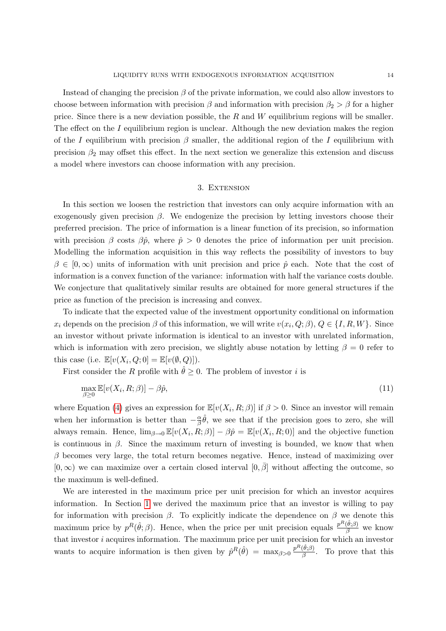Instead of changing the precision  $\beta$  of the private information, we could also allow investors to choose between information with precision  $\beta$  and information with precision  $\beta_2 > \beta$  for a higher price. Since there is a new deviation possible, the  $R$  and  $W$  equilibrium regions will be smaller. The effect on the  $I$  equilibrium region is unclear. Although the new deviation makes the region of the I equilibrium with precision  $\beta$  smaller, the additional region of the I equilibrium with precision  $\beta_2$  may offset this effect. In the next section we generalize this extension and discuss a model where investors can choose information with any precision.

#### 3. EXTENSION

<span id="page-16-0"></span>In this section we loosen the restriction that investors can only acquire information with an exogenously given precision  $\beta$ . We endogenize the precision by letting investors choose their preferred precision. The price of information is a linear function of its precision, so information with precision  $\beta$  costs  $\beta \hat{p}$ , where  $\hat{p} > 0$  denotes the price of information per unit precision. Modelling the information acquisition in this way reflects the possibility of investors to buy  $\beta \in [0,\infty)$  units of information with unit precision and price  $\hat{p}$  each. Note that the cost of information is a convex function of the variance: information with half the variance costs double. We conjecture that qualitatively similar results are obtained for more general structures if the price as function of the precision is increasing and convex.

To indicate that the expected value of the investment opportunity conditional on information  $x_i$  depends on the precision  $\beta$  of this information, we will write  $v(x_i, Q; \beta), Q \in \{I, R, W\}$ . Since an investor without private information is identical to an investor with unrelated information, which is information with zero precision, we slightly abuse notation by letting  $\beta = 0$  refer to this case (i.e.  $\mathbb{E}[v(X_i, Q; 0] = \mathbb{E}[v(\emptyset, Q)]).$ 

First consider the R profile with  $\hat{\theta} \geq 0$ . The problem of investor i is

$$
\max_{\beta \ge 0} \mathbb{E}[v(X_i, R; \beta)] - \beta \hat{p},\tag{11}
$$

where Equation [\(4\)](#page-8-0) gives an expression for  $\mathbb{E}[v(X_i, R; \beta)]$  if  $\beta > 0$ . Since an investor will remain when her information is better than  $-\frac{\alpha}{\beta}$  $\frac{\alpha}{\beta}\hat{\theta}$ , we see that if the precision goes to zero, she will always remain. Hence,  $\lim_{\beta\to 0} \mathbb{E}[v(X_i, R; \beta)] - \beta \hat{p} = \mathbb{E}[v(X_i, R; 0)]$  and the objective function is continuous in  $\beta$ . Since the maximum return of investing is bounded, we know that when  $\beta$  becomes very large, the total return becomes negative. Hence, instead of maximizing over  $[0,\infty)$  we can maximize over a certain closed interval  $[0,\overline{\beta}]$  without affecting the outcome, so the maximum is well-defined.

We are interested in the maximum price per unit precision for which an investor acquires information. In Section [1](#page-6-0) we derived the maximum price that an investor is willing to pay for information with precision  $\beta$ . To explicitly indicate the dependence on  $\beta$  we denote this maximum price by  $p^R(\hat{\theta}; \beta)$ . Hence, when the price per unit precision equals  $\frac{p^R(\hat{\theta}; \beta)}{\beta}$  we know that investor i acquires information. The maximum price per unit precision for which an investor wants to acquire information is then given by  $\hat{p}^R(\hat{\theta}) = \max_{\beta>0} \frac{p^R(\hat{\theta}, \beta)}{\beta}$  $\frac{\partial(\theta;\rho)}{\partial}$ . To prove that this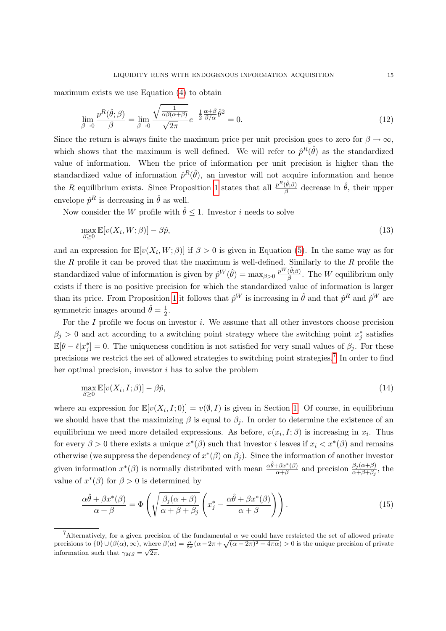maximum exists we use Equation [\(4\)](#page-8-0) to obtain

$$
\lim_{\beta \to 0} \frac{p^R(\hat{\theta}; \beta)}{\beta} = \lim_{\beta \to 0} \frac{\sqrt{\frac{1}{\alpha \beta(\alpha+\beta)}}}{\sqrt{2\pi}} e^{-\frac{1}{2} \frac{\alpha+\beta}{\beta/\alpha} \hat{\theta}^2} = 0.
$$
\n(12)

Since the return is always finite the maximum price per unit precision goes to zero for  $\beta \to \infty$ , which shows that the maximum is well defined. We will refer to  $\hat{p}^R(\hat{\theta})$  as the standardized value of information. When the price of information per unit precision is higher than the standardized value of information  $\hat{p}^R(\hat{\theta})$ , an investor will not acquire information and hence the R equilibrium exists. Since Proposition [1](#page-10-2) states that all  $\frac{p^R(\hat{\theta};\beta)}{\beta}$  $\frac{(\theta;\beta)}{\beta}$  decrease in  $\hat{\theta}$ , their upper envelope  $\hat{p}^R$  is decreasing in  $\hat{\theta}$  as well.

Now consider the W profile with  $\hat{\theta} \leq 1$ . Investor i needs to solve

$$
\max_{\beta \ge 0} \mathbb{E}[v(X_i, W; \beta)] - \beta \hat{p},\tag{13}
$$

and an expression for  $\mathbb{E}[v(X_i, W; \beta)]$  if  $\beta > 0$  is given in Equation [\(5\)](#page-9-1). In the same way as for the  $R$  profile it can be proved that the maximum is well-defined. Similarly to the  $R$  profile the standardized value of information is given by  $\hat{p}^W(\hat{\theta}) = \max_{\beta > 0} \frac{p^W(\hat{\theta};\beta)}{\beta}$  $\frac{(\theta;\beta)}{\beta}$ . The W equilibrium only exists if there is no positive precision for which the standardized value of information is larger than its price. From Proposition [1](#page-10-2) it follows that  $\hat{p}^W$  is increasing in  $\hat{\theta}$  and that  $\hat{p}^R$  and  $\hat{p}^W$  are symmetric images around  $\hat{\theta} = \frac{1}{2}$  $rac{1}{2}$ .

For the  $I$  profile we focus on investor  $i$ . We assume that all other investors choose precision  $\beta_j > 0$  and act according to a switching point strategy where the switching point  $x_j^*$  satisfies  $\mathbb{E}[\theta - \ell | x_j^*] = 0$ . The uniqueness condition is not satisfied for very small values of  $\beta_j$ . For these precisions we restrict the set of allowed strategies to switching point strategies.<sup>[7](#page-17-0)</sup> In order to find her optimal precision, investor i has to solve the problem

$$
\max_{\beta \ge 0} \mathbb{E}[v(X_i, I; \beta)] - \beta \hat{p},\tag{14}
$$

where an expression for  $\mathbb{E}[v(X_i, I; 0)] = v(\emptyset, I)$  is given in Section [1.](#page-6-0) Of course, in equilibrium we should have that the maximizing  $\beta$  is equal to  $\beta_j$ . In order to determine the existence of an equilibrium we need more detailed expressions. As before,  $v(x_i, I; \beta)$  is increasing in  $x_i$ . Thus for every  $\beta > 0$  there exists a unique  $x^*(\beta)$  such that investor i leaves if  $x_i < x^*(\beta)$  and remains otherwise (we suppress the dependency of  $x^*(\beta)$  on  $\beta_j$ ). Since the information of another investor given information  $x^*(\beta)$  is normally distributed with mean  $\frac{\alpha\hat{\theta}+\beta x^*(\beta)}{\alpha+\beta}$  and precision  $\frac{\beta_j(\alpha+\beta)}{\alpha+\beta+\beta_j}$ , the value of  $x^*(\beta)$  for  $\beta > 0$  is determined by

<span id="page-17-1"></span>
$$
\frac{\alpha\hat{\theta} + \beta x^*(\beta)}{\alpha + \beta} = \Phi\left(\sqrt{\frac{\beta_j(\alpha + \beta)}{\alpha + \beta + \beta_j}} \left(x_j^* - \frac{\alpha\hat{\theta} + \beta x^*(\beta)}{\alpha + \beta}\right)\right). \tag{15}
$$

<span id="page-17-0"></span><sup>&</sup>lt;sup>7</sup>Alternatively, for a given precision of the fundamental  $\alpha$  we could have restricted the set of allowed private precisions to  $\{0\} \cup (\beta(\alpha), \infty)$ , where  $\beta(\alpha) = \frac{\alpha}{8\pi}(\alpha - 2\pi + \sqrt{(\alpha - 2\pi)^2 + 4\pi\alpha}) > 0$  is the unique precision of private information such that  $\gamma_{MS} = \sqrt{2\pi}$ .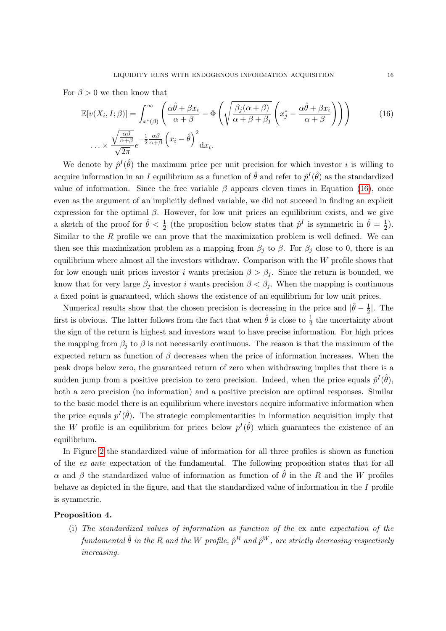For  $\beta > 0$  we then know that

<span id="page-18-0"></span>
$$
\mathbb{E}[v(X_i, I; \beta)] = \int_{x^*(\beta)}^{\infty} \left( \frac{\alpha \hat{\theta} + \beta x_i}{\alpha + \beta} - \Phi \left( \sqrt{\frac{\beta_j(\alpha + \beta)}{\alpha + \beta + \beta_j}} \left( x_j^* - \frac{\alpha \hat{\theta} + \beta x_i}{\alpha + \beta} \right) \right) \right)
$$
\n
$$
\dots \times \frac{\sqrt{\frac{\alpha \beta}{\alpha + \beta}}}{\sqrt{2\pi}} e^{-\frac{1}{2} \frac{\alpha \beta}{\alpha + \beta}} \left( x_i - \hat{\theta} \right)^2 dx_i.
$$
\n(16)

We denote by  $\hat{p}^{I}(\hat{\theta})$  the maximum price per unit precision for which investor i is willing to acquire information in an I equilibrium as a function of  $\hat{\theta}$  and refer to  $\hat{p}^I(\hat{\theta})$  as the standardized value of information. Since the free variable  $\beta$  appears eleven times in Equation [\(16\)](#page-18-0), once even as the argument of an implicitly defined variable, we did not succeed in finding an explicit expression for the optimal  $\beta$ . However, for low unit prices an equilibrium exists, and we give a sketch of the proof for  $\hat{\theta} < \frac{1}{2}$  (the proposition below states that  $\hat{p}^I$  is symmetric in  $\hat{\theta} = \frac{1}{2}$  $(\frac{1}{2})$ . Similar to the  $R$  profile we can prove that the maximization problem is well defined. We can then see this maximization problem as a mapping from  $\beta_j$  to  $\beta$ . For  $\beta_j$  close to 0, there is an equilibrium where almost all the investors withdraw. Comparison with the  $W$  profile shows that for low enough unit prices investor i wants precision  $\beta > \beta_i$ . Since the return is bounded, we know that for very large  $\beta_i$  investor i wants precision  $\beta < \beta_i$ . When the mapping is continuous a fixed point is guaranteed, which shows the existence of an equilibrium for low unit prices.

Numerical results show that the chosen precision is decreasing in the price and  $\left|\hat{\theta} - \frac{1}{2}\right|$  $\frac{1}{2}$ . The first is obvious. The latter follows from the fact that when  $\hat{\theta}$  is close to  $\frac{1}{2}$  the uncertainty about the sign of the return is highest and investors want to have precise information. For high prices the mapping from  $\beta_i$  to  $\beta$  is not necessarily continuous. The reason is that the maximum of the expected return as function of  $\beta$  decreases when the price of information increases. When the peak drops below zero, the guaranteed return of zero when withdrawing implies that there is a sudden jump from a positive precision to zero precision. Indeed, when the price equals  $\hat{p}^I(\hat{\theta})$ , both a zero precision (no information) and a positive precision are optimal responses. Similar to the basic model there is an equilibrium where investors acquire informative information when the price equals  $p^I(\hat{\theta})$ . The strategic complementarities in information acquisition imply that the W profile is an equilibrium for prices below  $p^{I}(\hat{\theta})$  which guarantees the existence of an equilibrium.

In Figure [2](#page-19-0) the standardized value of information for all three profiles is shown as function of the ex ante expectation of the fundamental. The following proposition states that for all α and β the standardized value of information as function of  $\hat{\theta}$  in the R and the W profiles behave as depicted in the figure, and that the standardized value of information in the I profile is symmetric.

#### <span id="page-18-1"></span>Proposition 4.

(i) The standardized values of information as function of the ex ante expectation of the fundamental  $\hat{\theta}$  in the R and the W profile,  $\hat{p}^{R}$  and  $\hat{p}^{W}$ , are strictly decreasing respectively increasing.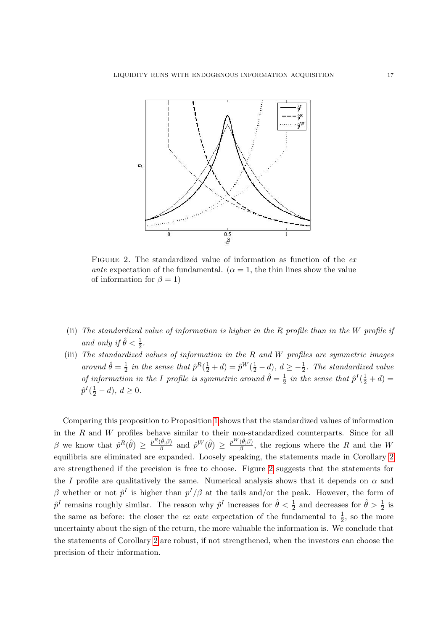

<span id="page-19-0"></span>FIGURE 2. The standardized value of information as function of the exante expectation of the fundamental. ( $\alpha = 1$ , the thin lines show the value of information for  $\beta = 1$ )

- (ii) The standardized value of information is higher in the R profile than in the W profile if and only if  $\hat{\theta} < \frac{1}{2}$ .
- (iii) The standardized values of information in the R and W profiles are symmetric images around  $\hat{\theta} = \frac{1}{2}$  $\frac{1}{2}$  in the sense that  $\hat{p}^R(\frac{1}{2}+d) = \hat{p}^W(\frac{1}{2}-d)$ ,  $d \geq -\frac{1}{2}$ . The standardized value of information in the I profile is symmetric around  $\hat{\theta} = \frac{1}{2}$  $\frac{1}{2}$  in the sense that  $\hat{p}^I(\frac{1}{2}+d)$  =  $\hat{p}^{I}(\frac{1}{2}-d), d \geq 0.$

Comparing this proposition to Proposition [1](#page-10-2) shows that the standardized values of information in the  $R$  and  $W$  profiles behave similar to their non-standardized counterparts. Since for all β we know that  $\hat{p}^R(\hat{\theta}) \geq \frac{p^R(\hat{\theta};\beta)}{3}$  $\frac{(\hat{\theta};\beta)}{\beta}$  and  $\hat{p}^W(\hat{\theta}) \geq \frac{p^W(\hat{\theta};\beta)}{\beta}$  $\frac{\partial F(\mathcal{P}, \mathcal{P})}{\partial \mathcal{P}}$ , the regions where the R and the W equilibria are eliminated are expanded. Loosely speaking, the statements made in Corollary [2](#page-13-0) are strengthened if the precision is free to choose. Figure [2](#page-19-0) suggests that the statements for the I profile are qualitatively the same. Numerical analysis shows that it depends on  $\alpha$  and β whether or not  $\hat{p}^I$  is higher than  $p^I/\beta$  at the tails and/or the peak. However, the form of  $\hat{p}^I$  remains roughly similar. The reason why  $\hat{p}^I$  increases for  $\hat{\theta} < \frac{1}{2}$  and decreases for  $\hat{\theta} > \frac{1}{2}$  is the same as before: the closer the *ex ante* expectation of the fundamental to  $\frac{1}{2}$ , so the more uncertainty about the sign of the return, the more valuable the information is. We conclude that the statements of Corollary [2](#page-13-0) are robust, if not strengthened, when the investors can choose the precision of their information.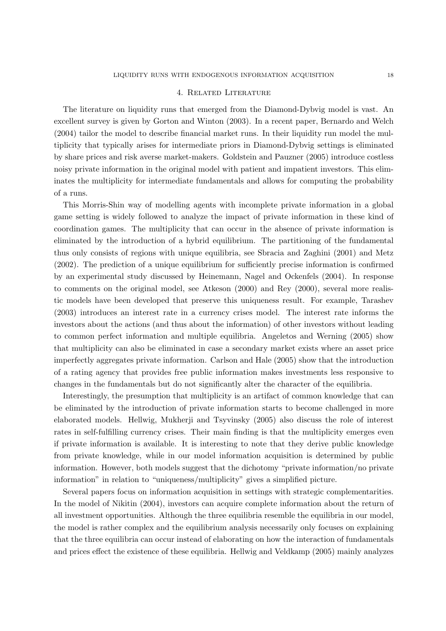#### 4. Related Literature

<span id="page-20-0"></span>The literature on liquidity runs that emerged from the Diamond-Dybvig model is vast. An excellent survey is given by Gorton and Winton (2003). In a recent paper, Bernardo and Welch (2004) tailor the model to describe financial market runs. In their liquidity run model the multiplicity that typically arises for intermediate priors in Diamond-Dybvig settings is eliminated by share prices and risk averse market-makers. Goldstein and Pauzner (2005) introduce costless noisy private information in the original model with patient and impatient investors. This eliminates the multiplicity for intermediate fundamentals and allows for computing the probability of a runs.

This Morris-Shin way of modelling agents with incomplete private information in a global game setting is widely followed to analyze the impact of private information in these kind of coordination games. The multiplicity that can occur in the absence of private information is eliminated by the introduction of a hybrid equilibrium. The partitioning of the fundamental thus only consists of regions with unique equilibria, see Sbracia and Zaghini (2001) and Metz (2002). The prediction of a unique equilibrium for sufficiently precise information is confirmed by an experimental study discussed by Heinemann, Nagel and Ockenfels (2004). In response to comments on the original model, see Atkeson (2000) and Rey (2000), several more realistic models have been developed that preserve this uniqueness result. For example, Tarashev (2003) introduces an interest rate in a currency crises model. The interest rate informs the investors about the actions (and thus about the information) of other investors without leading to common perfect information and multiple equilibria. Angeletos and Werning (2005) show that multiplicity can also be eliminated in case a secondary market exists where an asset price imperfectly aggregates private information. Carlson and Hale (2005) show that the introduction of a rating agency that provides free public information makes investments less responsive to changes in the fundamentals but do not significantly alter the character of the equilibria.

Interestingly, the presumption that multiplicity is an artifact of common knowledge that can be eliminated by the introduction of private information starts to become challenged in more elaborated models. Hellwig, Mukherji and Tsyvinsky (2005) also discuss the role of interest rates in self-fulfilling currency crises. Their main finding is that the multiplicity emerges even if private information is available. It is interesting to note that they derive public knowledge from private knowledge, while in our model information acquisition is determined by public information. However, both models suggest that the dichotomy "private information/no private information" in relation to "uniqueness/multiplicity" gives a simplified picture.

Several papers focus on information acquisition in settings with strategic complementarities. In the model of Nikitin (2004), investors can acquire complete information about the return of all investment opportunities. Although the three equilibria resemble the equilibria in our model, the model is rather complex and the equilibrium analysis necessarily only focuses on explaining that the three equilibria can occur instead of elaborating on how the interaction of fundamentals and prices effect the existence of these equilibria. Hellwig and Veldkamp (2005) mainly analyzes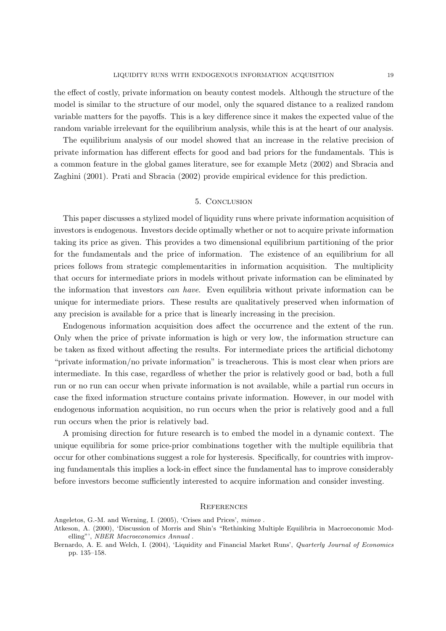the effect of costly, private information on beauty contest models. Although the structure of the model is similar to the structure of our model, only the squared distance to a realized random variable matters for the payoffs. This is a key difference since it makes the expected value of the random variable irrelevant for the equilibrium analysis, while this is at the heart of our analysis.

The equilibrium analysis of our model showed that an increase in the relative precision of private information has different effects for good and bad priors for the fundamentals. This is a common feature in the global games literature, see for example Metz (2002) and Sbracia and Zaghini (2001). Prati and Sbracia (2002) provide empirical evidence for this prediction.

#### 5. Conclusion

<span id="page-21-0"></span>This paper discusses a stylized model of liquidity runs where private information acquisition of investors is endogenous. Investors decide optimally whether or not to acquire private information taking its price as given. This provides a two dimensional equilibrium partitioning of the prior for the fundamentals and the price of information. The existence of an equilibrium for all prices follows from strategic complementarities in information acquisition. The multiplicity that occurs for intermediate priors in models without private information can be eliminated by the information that investors can have. Even equilibria without private information can be unique for intermediate priors. These results are qualitatively preserved when information of any precision is available for a price that is linearly increasing in the precision.

Endogenous information acquisition does affect the occurrence and the extent of the run. Only when the price of private information is high or very low, the information structure can be taken as fixed without affecting the results. For intermediate prices the artificial dichotomy "private information/no private information" is treacherous. This is most clear when priors are intermediate. In this case, regardless of whether the prior is relatively good or bad, both a full run or no run can occur when private information is not available, while a partial run occurs in case the fixed information structure contains private information. However, in our model with endogenous information acquisition, no run occurs when the prior is relatively good and a full run occurs when the prior is relatively bad.

A promising direction for future research is to embed the model in a dynamic context. The unique equilibria for some price-prior combinations together with the multiple equilibria that occur for other combinations suggest a role for hysteresis. Specifically, for countries with improving fundamentals this implies a lock-in effect since the fundamental has to improve considerably before investors become sufficiently interested to acquire information and consider investing.

#### **REFERENCES**

Angeletos, G.-M. and Werning, I. (2005), 'Crises and Prices', mimeo .

Atkeson, A. (2000), 'Discussion of Morris and Shin's "Rethinking Multiple Equilibria in Macroeconomic Modelling"', NBER Macroeconomics Annual .

Bernardo, A. E. and Welch, I. (2004), 'Liquidity and Financial Market Runs', Quarterly Journal of Economics pp. 135–158.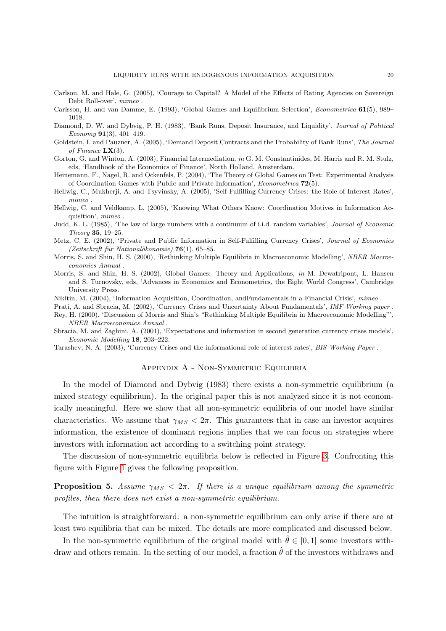- Carlson, M. and Hale, G. (2005), 'Courage to Capital? A Model of the Effects of Rating Agencies on Sovereign Debt Roll-over', mimeo .
- Carlsson, H. and van Damme, E. (1993), 'Global Games and Equilibrium Selection', Econometrica 61(5), 989– 1018.
- Diamond, D. W. and Dybvig, P. H. (1983), 'Bank Runs, Deposit Insurance, and Liquidity', Journal of Political Economy 91(3), 401–419.
- Goldstein, I. and Pauzner, A. (2005), 'Demand Deposit Contracts and the Probability of Bank Runs', The Journal of Finance  $\mathbf{L}\mathbf{X}(3)$ .
- Gorton, G. and Winton, A. (2003), Financial Intermediation, in G. M. Constantinides, M. Harris and R. M. Stulz, eds, 'Handbook of the Economics of Finance', North Holland, Amsterdam.
- Heinemann, F., Nagel, R. and Ockenfels, P. (2004), 'The Theory of Global Games on Test: Experimental Analysis of Coordination Games with Public and Private Information', Econometrica 72(5).
- Hellwig, C., Mukherji, A. and Tsyvinsky, A. (2005), 'Self-Fulfilling Currency Crises: the Role of Interest Rates', mimeo .
- Hellwig, C. and Veldkamp, L. (2005), 'Knowing What Others Know: Coordination Motives in Information Acquisition', mimeo .
- Judd, K. L. (1985), 'The law of large numbers with a continuum of i.i.d. random variables', Journal of Economic Theory 35, 19–25.
- Metz, C. E. (2002), 'Private and Public Information in Self-Fulfilling Currency Crises', Journal of Economics (Zeitschrift für Nationalökonomie)  $76(1)$ , 65–85.
- Morris, S. and Shin, H. S. (2000), 'Rethinking Multiple Equilibria in Macroeconomic Modelling', NBER Macroeconomics Annual .
- Morris, S. and Shin, H. S. (2002), Global Games: Theory and Applications, in M. Dewatripont, L. Hansen and S. Turnovsky, eds, 'Advances in Economics and Econometrics, the Eight World Congress', Cambridge University Press.
- Nikitin, M. (2004), 'Information Acquisition, Coordination, andFundamentals in a Financial Crisis', mimeo .
- Prati, A. and Sbracia, M. (2002), 'Currency Crises and Uncertainty About Fundamentals', IMF Working paper .
- Rey, H. (2000), 'Discussion of Morris and Shin's "Rethinking Multiple Equilibria in Macroeconomic Modelling"', NBER Macroeconomics Annual .
- Sbracia, M. and Zaghini, A. (2001), 'Expectations and information in second generation currency crises models', Economic Modelling 18, 203–222.
- Tarashev, N. A. (2003), 'Currency Crises and the informational role of interest rates', BIS Working Paper .

#### Appendix A - Non-Symmetric Equilibria

In the model of Diamond and Dybvig (1983) there exists a non-symmetric equilibrium (a mixed strategy equilibrium). In the original paper this is not analyzed since it is not economically meaningful. Here we show that all non-symmetric equilibria of our model have similar characteristics. We assume that  $\gamma_{MS} < 2\pi$ . This guarantees that in case an investor acquires information, the existence of dominant regions implies that we can focus on strategies where investors with information act according to a switching point strategy.

The discussion of non-symmetric equilibria below is reflected in Figure [3.](#page-23-0) Confronting this figure with Figure [1](#page-11-0) gives the following proposition.

**Proposition 5.** Assume  $\gamma_{MS} < 2\pi$ . If there is a unique equilibrium among the symmetric profiles, then there does not exist a non-symmetric equilibrium.

The intuition is straightforward: a non-symmetric equilibrium can only arise if there are at least two equilibria that can be mixed. The details are more complicated and discussed below.

In the non-symmetric equilibrium of the original model with  $\hat{\theta} \in [0, 1]$  some investors withdraw and others remain. In the setting of our model, a fraction  $\hat{\theta}$  of the investors withdraws and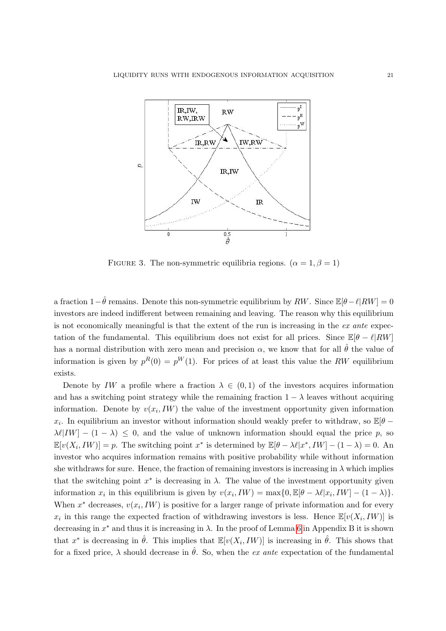

<span id="page-23-0"></span>FIGURE 3. The non-symmetric equilibria regions.  $(\alpha = 1, \beta = 1)$ 

a fraction  $1-\hat{\theta}$  remains. Denote this non-symmetric equilibrium by RW. Since  $\mathbb{E}[\theta-\ell|RW] = 0$ investors are indeed indifferent between remaining and leaving. The reason why this equilibrium is not economically meaningful is that the extent of the run is increasing in the ex ante expectation of the fundamental. This equilibrium does not exist for all prices. Since  $\mathbb{E}[\theta - \ell]RW]$ has a normal distribution with zero mean and precision  $\alpha$ , we know that for all  $\hat{\theta}$  the value of information is given by  $p^{R}(0) = p^{W}(1)$ . For prices of at least this value the RW equilibrium exists.

Denote by IW a profile where a fraction  $\lambda \in (0,1)$  of the investors acquires information and has a switching point strategy while the remaining fraction  $1 - \lambda$  leaves without acquiring information. Denote by  $v(x_i, IW)$  the value of the investment opportunity given information  $x_i$ . In equilibrium an investor without information should weakly prefer to withdraw, so  $\mathbb{E}[\theta -]$  $\lambda \ell |IW| - (1 - \lambda) \leq 0$ , and the value of unknown information should equal the price p, so  $\mathbb{E}[v(X_i, IW)] = p$ . The switching point  $x^*$  is determined by  $\mathbb{E}[\theta - \lambda \ell | x^*, IW] - (1 - \lambda) = 0$ . An investor who acquires information remains with positive probability while without information she withdraws for sure. Hence, the fraction of remaining investors is increasing in  $\lambda$  which implies that the switching point  $x^*$  is decreasing in  $\lambda$ . The value of the investment opportunity given information  $x_i$  in this equilibrium is given by  $v(x_i, IW) = \max\{0, \mathbb{E}[\theta - \lambda \ell | x_i, IW] - (1 - \lambda)\}.$ When  $x^*$  decreases,  $v(x_i, IW)$  is positive for a larger range of private information and for every  $x_i$  in this range the expected fraction of withdrawing investors is less. Hence  $\mathbb{E}[v(X_i, IW)]$  is decreasing in  $x^*$  and thus it is increasing in  $\lambda$ . In the proof of Lemma [6](#page-25-0) in Appendix B it is shown that  $x^*$  is decreasing in  $\hat{\theta}$ . This implies that  $\mathbb{E}[v(X_i,IW)]$  is increasing in  $\hat{\theta}$ . This shows that for a fixed price,  $\lambda$  should decrease in  $\hat{\theta}$ . So, when the *ex ante* expectation of the fundamental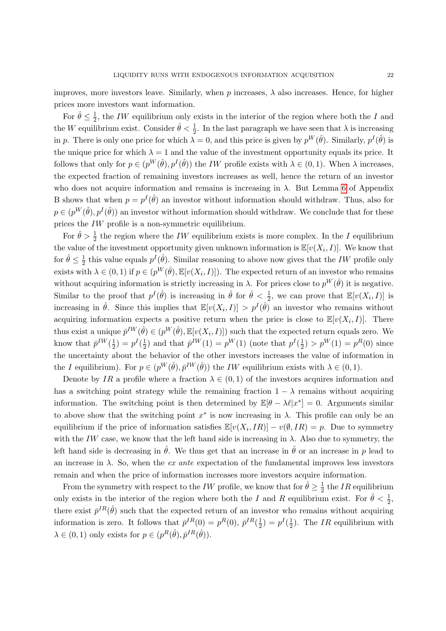improves, more investors leave. Similarly, when  $p$  increases,  $\lambda$  also increases. Hence, for higher prices more investors want information.

For  $\hat{\theta} \leq \frac{1}{2}$  $\frac{1}{2}$ , the *IW* equilibrium only exists in the interior of the region where both the *I* and the W equilibrium exist. Consider  $\hat{\theta} < \frac{1}{2}$ . In the last paragraph we have seen that  $\lambda$  is increasing in p. There is only one price for which  $\lambda = 0$ , and this price is given by  $p^W(\hat{\theta})$ . Similarly,  $p^I(\hat{\theta})$  is the unique price for which  $\lambda = 1$  and the value of the investment opportunity equals its price. It follows that only for  $p \in (p^W(\hat{\theta}), p^I(\hat{\theta}))$  the *IW* profile exists with  $\lambda \in (0, 1)$ . When  $\lambda$  increases, the expected fraction of remaining investors increases as well, hence the return of an investor who does not acquire information and remains is increasing in  $\lambda$ . But Lemma [6](#page-25-0) of Appendix B shows that when  $p = p^I(\hat{\theta})$  an investor without information should withdraw. Thus, also for  $p \in (p^W(\hat{\theta}), p^I(\hat{\theta}))$  an investor without information should withdraw. We conclude that for these prices the IW profile is a non-symmetric equilibrium.

For  $\hat{\theta} > \frac{1}{2}$  the region where the IW equilibrium exists is more complex. In the I equilibrium the value of the investment opportunity given unknown information is  $\mathbb{E}[v(X_i,I)]$ . We know that for  $\hat{\theta} \leq \frac{1}{2}$  $\frac{1}{2}$  this value equals  $p^I(\hat{\theta})$ . Similar reasoning to above now gives that the IW profile only exists with  $\lambda \in (0,1)$  if  $p \in (p^W(\hat{\theta}), \mathbb{E}[v(X_i, I)])$ . The expected return of an investor who remains without acquiring information is strictly increasing in  $\lambda$ . For prices close to  $p^{W}(\hat{\theta})$  it is negative. Similar to the proof that  $p^I(\hat{\theta})$  is increasing in  $\hat{\theta}$  for  $\hat{\theta} < \frac{1}{2}$ , we can prove that  $\mathbb{E}[v(X_i,I)]$  is increasing in  $\hat{\theta}$ . Since this implies that  $\mathbb{E}[v(X_i,I)] > p^I(\hat{\theta})$  an investor who remains without acquiring information expects a positive return when the price is close to  $\mathbb{E}[v(X_i,I)]$ . There thus exist a unique  $\bar{p}^{IW}(\hat{\theta}) \in (p^W(\hat{\theta}), \mathbb{E}[v(X_i, I)])$  such that the expected return equals zero. We know that  $\bar{p}^{IW}(\frac{1}{2})$  $(\frac{1}{2}) = p^I(\frac{1}{2})$  $\frac{1}{2}$ ) and that  $\bar{p}^{IW}(1) = p^{W}(1)$  (note that  $p^{I}(\frac{1}{2})$  $(\frac{1}{2}) > p^{W}(1) = p^{R}(0)$  since the uncertainty about the behavior of the other investors increases the value of information in the I equilibrium). For  $p \in (p^W(\hat{\theta}), \bar{p}^{IW}(\hat{\theta}))$  the IW equilibrium exists with  $\lambda \in (0, 1)$ .

Denote by IR a profile where a fraction  $\lambda \in (0,1)$  of the investors acquires information and has a switching point strategy while the remaining fraction  $1 - \lambda$  remains without acquiring information. The switching point is then determined by  $\mathbb{E}[\theta - \lambda \ell | x^*] = 0$ . Arguments similar to above show that the switching point  $x^*$  is now increasing in  $\lambda$ . This profile can only be an equilibrium if the price of information satisfies  $\mathbb{E}[v(X_i, IR)] - v(\emptyset, IR) = p$ . Due to symmetry with the IW case, we know that the left hand side is increasing in  $\lambda$ . Also due to symmetry, the left hand side is decreasing in  $\hat{\theta}$ . We thus get that an increase in  $\hat{\theta}$  or an increase in p lead to an increase in  $\lambda$ . So, when the *ex ante* expectation of the fundamental improves less investors remain and when the price of information increases more investors acquire information.

From the symmetry with respect to the *IW* profile, we know that for  $\hat{\theta} \geq \frac{1}{2}$  $\frac{1}{2}$  the *IR* equilibrium only exists in the interior of the region where both the I and R equilibrium exist. For  $\hat{\theta} < \frac{1}{2}$ , there exist  $\bar{p}^{IR}(\hat{\theta})$  such that the expected return of an investor who remains without acquiring information is zero. It follows that  $\bar{p}^{IR}(0) = p^{R}(0), \bar{p}^{IR}(\frac{1}{2})$  $(\frac{1}{2}) = p^I(\frac{1}{2})$  $\frac{1}{2}$ ). The *IR* equilibrium with  $\lambda \in (0, 1)$  only exists for  $p \in (p^R(\hat{\theta}), \bar{p}^{IR}(\hat{\theta}))$ .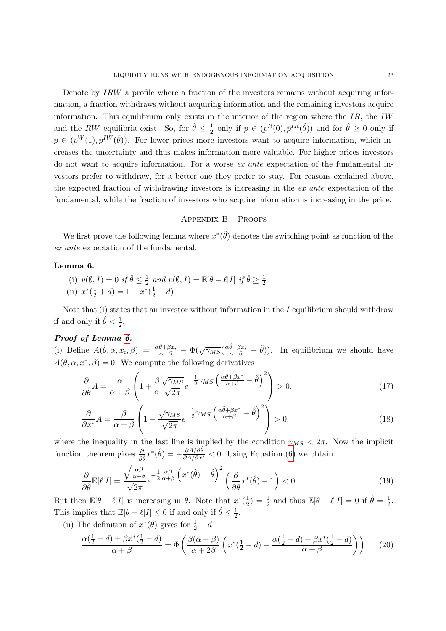Denote by IRW a profile where a fraction of the investors remains without acquiring information, a fraction withdraws without acquiring information and the remaining investors acquire information. This equilibrium only exists in the interior of the region where the  $IR$ , the IW and the RW equilibria exist. So, for  $\hat{\theta} \leq \frac{1}{2}$  $\frac{1}{2}$  only if  $p \in (p^R(0), \bar{p}^{IR}(\hat{\theta}))$  and for  $\hat{\theta} \ge 0$  only if  $p \in (p^W(1), \bar{p}^{IW}(\hat{\theta}))$ . For lower prices more investors want to acquire information, which increases the uncertainty and thus makes information more valuable. For higher prices investors do not want to acquire information. For a worse ex ante expectation of the fundamental investors prefer to withdraw, for a better one they prefer to stay. For reasons explained above, the expected fraction of withdrawing investors is increasing in the ex ante expectation of the fundamental, while the fraction of investors who acquire information is increasing in the price.

#### Appendix B - Proofs

We first prove the following lemma where  $x^*(\hat{\theta})$  denotes the switching point as function of the ex ante expectation of the fundamental.

#### <span id="page-25-0"></span>Lemma 6.

(i)  $v(\emptyset, I) = 0$  if  $\hat{\theta} \leq \frac{1}{2}$  $\frac{1}{2}$  and  $v(\emptyset, I) = \mathbb{E}[\theta - \ell |I]$  if  $\hat{\theta} \ge \frac{1}{2}$ 2 (ii)  $x^*(\frac{1}{2}+d) = 1 - x^*(\frac{1}{2}-d)$ 

Note that (i) states that an investor without information in the  $I$  equilibrium should withdraw if and only if  $\hat{\theta} < \frac{1}{2}$ .

#### Proof of Lemma [6.](#page-25-0)

(i) Define  $A(\hat{\theta}, \alpha, x_i, \beta) = \frac{\alpha \hat{\theta} + \beta x_i}{\alpha + \beta} - \Phi(\sqrt{\gamma_{MS}}(\frac{\alpha \hat{\theta} + \beta x_i}{\alpha + \beta} - \hat{\theta}))$ . In equilibrium we should have  $A(\hat{\theta}, \alpha, x^*, \beta) = 0$ . We compute the following derivatives

$$
\frac{\partial}{\partial \hat{\theta}} A = \frac{\alpha}{\alpha + \beta} \left( 1 + \frac{\beta}{\alpha} \frac{\sqrt{\gamma_{MS}}}{\sqrt{2\pi}} e^{-\frac{1}{2}\gamma_{MS} \left( \frac{\alpha \hat{\theta} + \beta x^*}{\alpha + \beta} - \hat{\theta} \right)^2} \right) > 0, \tag{17}
$$

$$
\frac{\partial}{\partial x^*} A = \frac{\beta}{\alpha + \beta} \left( 1 - \frac{\sqrt{\gamma_{MS}}}{\sqrt{2\pi}} e^{-\frac{1}{2}\gamma_{MS} \left( \frac{\alpha \hat{\theta} + \beta x^*}{\alpha + \beta} - \hat{\theta} \right)^2} \right) > 0,
$$
\n(18)

where the inequality in the last line is implied by the condition  $\gamma_{MS} < 2\pi$ . Now the implicit function theorem gives  $\frac{\partial}{\partial \hat{\theta}} x^*(\hat{\theta}) = -\frac{\partial A/\partial \hat{\theta}}{\partial A/\partial x^*} < 0$ . Using Equation [\(6\)](#page-9-2) we obtain

$$
\frac{\partial}{\partial \hat{\theta}} \mathbb{E}[\ell|I] = \frac{\sqrt{\frac{\alpha \beta}{\alpha + \beta}}}{\sqrt{2\pi}} e^{-\frac{1}{2} \frac{\alpha \beta}{\alpha + \beta}} \left( x^*(\hat{\theta}) - \hat{\theta} \right)^2 \left( \frac{\partial}{\partial \hat{\theta}} x^*(\hat{\theta}) - 1 \right) < 0. \tag{19}
$$

But then  $\mathbb{E}[\theta - \ell | I]$  is increasing in  $\hat{\theta}$ . Note that  $x^*(\frac{1}{2})$  $\frac{1}{2}$ ) =  $\frac{1}{2}$  and thus  $\mathbb{E}[\theta - \ell | I] = 0$  if  $\hat{\theta} = \frac{1}{2}$  $\frac{1}{2}$ . This implies that  $\mathbb{E}[\theta - \ell | I] \leq 0$  if and only if  $\hat{\theta} \leq \frac{1}{2}$  $rac{1}{2}$ .

(ii) The definition of  $x^*(\hat{\theta})$  gives for  $\frac{1}{2} - d$ 

$$
\frac{\alpha(\frac{1}{2}-d)+\beta x^*(\frac{1}{2}-d)}{\alpha+\beta} = \Phi\left(\frac{\beta(\alpha+\beta)}{\alpha+2\beta}\left(x^*(\frac{1}{2}-d)-\frac{\alpha(\frac{1}{2}-d)+\beta x^*(\frac{1}{2}-d)}{\alpha+\beta}\right)\right) \tag{20}
$$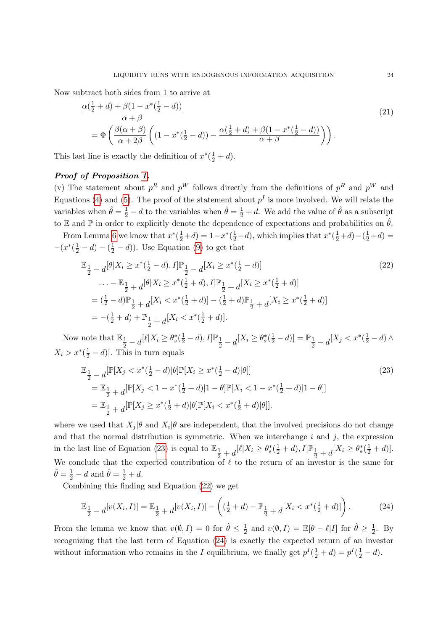Now subtract both sides from 1 to arrive at

$$
\frac{\alpha(\frac{1}{2}+d)+\beta(1-x^*(\frac{1}{2}-d))}{\alpha+\beta}
$$
\n
$$
=\Phi\left(\frac{\beta(\alpha+\beta)}{\alpha+2\beta}\left((1-x^*(\frac{1}{2}-d))-\frac{\alpha(\frac{1}{2}+d)+\beta(1-x^*(\frac{1}{2}-d))}{\alpha+\beta}\right)\right).
$$
\n(21)

This last line is exactly the definition of  $x^*(\frac{1}{2} + d)$ .

#### Proof of Proposition [1.](#page-10-2)

(v) The statement about  $p^R$  and  $p^W$  follows directly from the definitions of  $p^R$  and  $p^W$  and Equations [\(4\)](#page-8-0) and [\(5\)](#page-9-1). The proof of the statement about  $p<sup>I</sup>$  is more involved. We will relate the variables when  $\hat{\theta} = \frac{1}{2} - d$  to the variables when  $\hat{\theta} = \frac{1}{2} + d$ . We add the value of  $\hat{\theta}$  as a subscript to E and P in order to explicitly denote the dependence of expectations and probabilities on  $\hat{\theta}$ .

From Lemma [6](#page-25-0) we know that  $x^*(\frac{1}{2}+d) = 1-x^*(\frac{1}{2}-d)$ , which implies that  $x^*(\frac{1}{2}+d) - (\frac{1}{2}+d) =$  $-(x^*(\frac{1}{2}-d) - (\frac{1}{2}-d))$ . Use Equation [\(9\)](#page-10-3) to get that

<span id="page-26-1"></span>
$$
\mathbb{E}_{\frac{1}{2}} - d^{\left[\beta\right]} X_i \geq x^*(\frac{1}{2} - d), I] \mathbb{P}_{\frac{1}{2}} - d^{\left[X_i \geq x^*(\frac{1}{2} - d)\right]}
$$
\n
$$
\dots - \mathbb{E}_{\frac{1}{2}} + d^{\left[\beta\right]} X_i \geq x^*(\frac{1}{2} + d), I] \mathbb{P}_{\frac{1}{2}} + d^{\left[X_i \geq x^*(\frac{1}{2} + d)\right]}
$$
\n
$$
= (\frac{1}{2} - d) \mathbb{P}_{\frac{1}{2}} + d^{\left[X_i < x^*(\frac{1}{2} + d)\right]} - (\frac{1}{2} + d) \mathbb{P}_{\frac{1}{2}} + d^{\left[X_i \geq x^*(\frac{1}{2} + d)\right]}
$$
\n
$$
= -(\frac{1}{2} + d) + \mathbb{P}_{\frac{1}{2}} + d^{\left[X_i < x^*(\frac{1}{2} + d)\right]}.
$$
\n(22)

Now note that  $\mathbb{E}_{\frac{1}{2}-d}[\ell|X_i \geq \theta_s^*(\frac{1}{2}-d), I] \mathbb{P}_{\frac{1}{2}-d}[X_i \geq \theta_s^*(\frac{1}{2}-d)] = \mathbb{P}_{\frac{1}{2}-d}[X_j < x^*(\frac{1}{2}-d) \wedge$  $X_i > x^*(\frac{1}{2} - d)$ . This in turn equals

<span id="page-26-0"></span>
$$
\mathbb{E}_{\frac{1}{2}-d}[\mathbb{P}[X_j < x^*(\frac{1}{2}-d)|\theta]\mathbb{P}[X_i \ge x^*(\frac{1}{2}-d)|\theta]]
$$
\n
$$
= \mathbb{E}_{\frac{1}{2}+d}[\mathbb{P}[X_j < 1 - x^*(\frac{1}{2}+d)|1-\theta]\mathbb{P}[X_i < 1 - x^*(\frac{1}{2}+d)|1-\theta]]
$$
\n
$$
= \mathbb{E}_{\frac{1}{2}+d}[\mathbb{P}[X_j \ge x^*(\frac{1}{2}+d)|\theta]\mathbb{P}[X_i < x^*(\frac{1}{2}+d)|\theta]].
$$
\n(23)

where we used that  $X_j | \theta$  and  $X_i | \theta$  are independent, that the involved precisions do not change and that the normal distribution is symmetric. When we interchange  $i$  and  $j$ , the expression in the last line of Equation [\(23\)](#page-26-0) is equal to  $\mathbb{E}_1$  $\frac{1}{2} + d^{[\ell]X_i} \geq \theta_s^*(\frac{1}{2} + d), I] \mathbb{P}_{\frac{1}{2}} + d^{[X_i} \geq \theta_s^*(\frac{1}{2} + d)].$ We conclude that the expected contribution of  $\ell$  to the return of an investor is the same for  $\hat{\theta} = \frac{1}{2} - d$  and  $\hat{\theta} = \frac{1}{2} + d$ .

Combining this finding and Equation [\(22\)](#page-26-1) we get

<span id="page-26-2"></span>
$$
\mathbb{E}_{\frac{1}{2}-d}[v(X_i,I)] = \mathbb{E}_{\frac{1}{2}+d}[v(X_i,I)] - \left((\frac{1}{2}+d) - \mathbb{P}_{\frac{1}{2}+d}[X_i < x^*(\frac{1}{2}+d)]\right). \tag{24}
$$

From the lemma we know that  $v(\emptyset, I) = 0$  for  $\hat{\theta} \leq \frac{1}{2}$  $\frac{1}{2}$  and  $v(\emptyset, I) = \mathbb{E}[\theta - \ell | I]$  for  $\hat{\theta} \ge \frac{1}{2}$  $\frac{1}{2}$ . By recognizing that the last term of Equation [\(24\)](#page-26-2) is exactly the expected return of an investor without information who remains in the I equilibrium, we finally get  $p^I(\frac{1}{2} + d) = p^I(\frac{1}{2} - d)$ .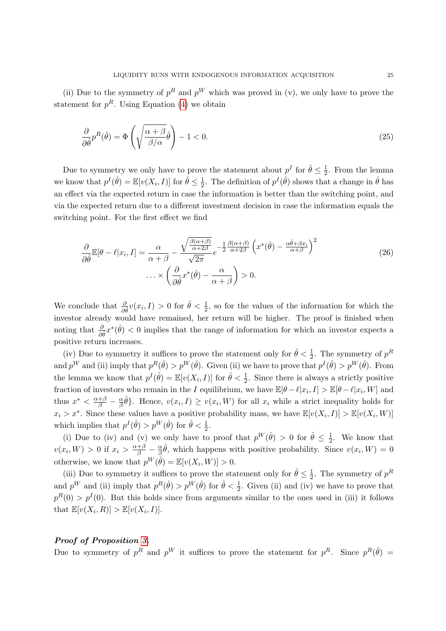(ii) Due to the symmetry of  $p^R$  and  $p^W$  which was proved in (v), we only have to prove the statement for  $p<sup>R</sup>$ . Using Equation [\(4\)](#page-8-0) we obtain

$$
\frac{\partial}{\partial \hat{\theta}} p^R(\hat{\theta}) = \Phi \left( \sqrt{\frac{\alpha + \beta}{\beta/\alpha}} \hat{\theta} \right) - 1 < 0. \tag{25}
$$

Due to symmetry we only have to prove the statement about  $p<sup>I</sup>$  for  $\hat{\theta} \leq \frac{1}{2}$  $\frac{1}{2}$ . From the lemma we know that  $p^I(\hat{\theta}) = \mathbb{E}[v(X_i, I)]$  for  $\hat{\theta} \leq \frac{1}{2}$  $\frac{1}{2}$ . The definition of  $p^{I}(\hat{\theta})$  shows that a change in  $\hat{\theta}$  has an effect via the expected return in case the information is better than the switching point, and via the expected return due to a different investment decision in case the information equals the switching point. For the first effect we find

$$
\frac{\partial}{\partial \hat{\theta}} \mathbb{E}[\theta - \ell | x_i, I] = \frac{\alpha}{\alpha + \beta} - \frac{\sqrt{\frac{\beta(\alpha + \beta)}{\alpha + 2\beta}}}{\sqrt{2\pi}} e^{-\frac{1}{2} \frac{\beta(\alpha + \beta)}{\alpha + 2\beta}} \left( x^*(\hat{\theta}) - \frac{\alpha \hat{\theta} + \beta x_i}{\alpha + \beta} \right)^2
$$
\n
$$
\dots \times \left( \frac{\partial}{\partial \hat{\theta}} x^*(\hat{\theta}) - \frac{\alpha}{\alpha + \beta} \right) > 0.
$$
\n(26)

We conclude that  $\frac{\partial}{\partial \hat{\theta}}v(x_i, I) > 0$  for  $\hat{\theta} < \frac{1}{2}$ , so for the values of the information for which the investor already would have remained, her return will be higher. The proof is finished when noting that  $\frac{\partial}{\partial \hat{\theta}} x^*(\hat{\theta}) < 0$  implies that the range of information for which an investor expects a positive return increases.

(iv) Due to symmetry it suffices to prove the statement only for  $\hat{\theta} < \frac{1}{2}$ . The symmetry of  $p^R$ and  $p^W$  and (ii) imply that  $p^R(\hat{\theta}) > p^W(\hat{\theta})$ . Given (ii) we have to prove that  $p^I(\hat{\theta}) > p^W(\hat{\theta})$ . From the lemma we know that  $p^I(\hat{\theta}) = \mathbb{E}[v(X_i, I)]$  for  $\hat{\theta} < \frac{1}{2}$ . Since there is always a strictly positive fraction of investors who remain in the I equilibrium, we have  $\mathbb{E}[\theta - \ell | x_i, I] > \mathbb{E}[\theta - \ell | x_i, W]$  and thus  $x^* < \frac{\alpha+\beta}{\beta} - \frac{\alpha}{\beta}$  $\frac{\alpha}{\beta}\hat{\theta}$ . Hence,  $v(x_i, I) \ge v(x_i, W)$  for all  $x_i$  while a strict inequality holds for  $x_i > x^*$ . Since these values have a positive probability mass, we have  $\mathbb{E}[v(X_i,I)] > \mathbb{E}[v(X_i,W)]$ which implies that  $p^I(\hat{\theta}) > p^W(\hat{\theta})$  for  $\hat{\theta} < \frac{1}{2}$ .

(i) Due to (iv) and (v) we only have to proof that  $p^W(\hat{\theta}) > 0$  for  $\hat{\theta} \leq \frac{1}{2}$  $\frac{1}{2}$ . We know that  $v(x_i, W) > 0$  if  $x_i > \frac{\alpha + \beta}{\beta} - \frac{\alpha}{\beta}$  $\frac{\alpha}{\beta}\hat{\theta}$ , which happens with positive probability. Since  $v(x_i, W) = 0$ otherwise, we know that  $p^W(\hat{\theta}) = \mathbb{E}[v(X_i, W)] > 0$ .

(iii) Due to symmetry it suffices to prove the statement only for  $\hat{\theta} \leq \frac{1}{2}$  $\frac{1}{2}$ . The symmetry of  $p^R$ and  $p^W$  and (ii) imply that  $p^R(\hat{\theta}) > p^W(\hat{\theta})$  for  $\hat{\theta} < \frac{1}{2}$ . Given (ii) and (iv) we have to prove that  $p^{R}(0) > p^{I}(0)$ . But this holds since from arguments similar to the ones used in (iii) it follows that  $\mathbb{E}[v(X_i, R)] > \mathbb{E}[v(X_i, I)].$ 

#### Proof of Proposition [3.](#page-14-0)

Due to symmetry of  $p^R$  and  $p^W$  it suffices to prove the statement for  $p^R$ . Since  $p^R(\hat{\theta}) =$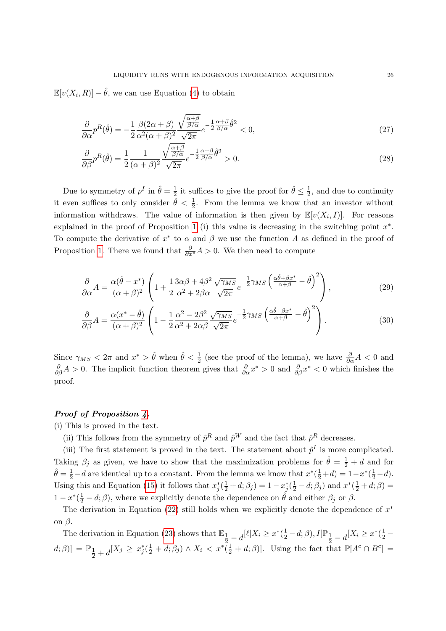$\mathbb{E}[v(X_i, R)] - \hat{\theta}$ , we can use Equation [\(4\)](#page-8-0) to obtain

$$
\frac{\partial}{\partial \alpha} p^R(\hat{\theta}) = -\frac{1}{2} \frac{\beta (2\alpha + \beta)}{\alpha^2 (\alpha + \beta)^2} \frac{\sqrt{\frac{\alpha + \beta}{\beta/\alpha}}}{\sqrt{2\pi}} e^{-\frac{1}{2} \frac{\alpha + \beta}{\beta/\alpha} \hat{\theta}^2} < 0,\tag{27}
$$

$$
\frac{\partial}{\partial \beta} p^R(\hat{\theta}) = \frac{1}{2} \frac{1}{(\alpha + \beta)^2} \frac{\sqrt{\frac{\alpha + \beta}{\beta/\alpha}}}{\sqrt{2\pi}} e^{-\frac{1}{2} \frac{\alpha + \beta}{\beta/\alpha} \hat{\theta}^2} > 0.
$$
\n(28)

Due to symmetry of  $p^I$  in  $\hat{\theta} = \frac{1}{2}$  $\frac{1}{2}$  it suffices to give the proof for  $\hat{\theta} \leq \frac{1}{2}$  $\frac{1}{2}$ , and due to continuity it even suffices to only consider  $\hat{\theta} < \frac{1}{2}$ . From the lemma we know that an investor without information withdraws. The value of information is then given by  $\mathbb{E}[v(X_i,I)]$ . For reasons explained in the proof of Proposition [1](#page-10-2) (i) this value is decreasing in the switching point  $x^*$ . To compute the derivative of  $x^*$  to  $\alpha$  and  $\beta$  we use the function A as defined in the proof of Proposition [1.](#page-10-2) There we found that  $\frac{\partial}{\partial x^*} A > 0$ . We then need to compute

$$
\frac{\partial}{\partial \alpha} A = \frac{\alpha (\hat{\theta} - x^*)}{(\alpha + \beta)^2} \left( 1 + \frac{1}{2} \frac{3\alpha \beta + 4\beta^2}{\alpha^2 + 2\beta \alpha} \frac{\sqrt{\gamma_{MS}}}{\sqrt{2\pi}} e^{-\frac{1}{2} \gamma_{MS} \left( \frac{\alpha \hat{\theta} + \beta x^*}{\alpha + \beta} - \hat{\theta} \right)^2} \right),\tag{29}
$$

$$
\frac{\partial}{\partial \beta} A = \frac{\alpha (x^* - \hat{\theta})}{(\alpha + \beta)^2} \left( 1 - \frac{1}{2} \frac{\alpha^2 - 2\beta^2}{\alpha^2 + 2\alpha\beta} \frac{\sqrt{\gamma_{MS}}}{\sqrt{2\pi}} e^{-\frac{1}{2}\gamma_{MS} \left( \frac{\alpha \hat{\theta} + \beta x^*}{\alpha + \beta} - \hat{\theta} \right)^2} \right).
$$
(30)

Since  $\gamma_{MS} < 2\pi$  and  $x^* > \hat{\theta}$  when  $\hat{\theta} < \frac{1}{2}$  (see the proof of the lemma), we have  $\frac{\partial}{\partial \alpha} A < 0$  and  $\frac{\partial}{\partial \beta}A > 0$ . The implicit function theorem gives that  $\frac{\partial}{\partial \alpha}x^* > 0$  and  $\frac{\partial}{\partial \beta}x^* < 0$  which finishes the proof.

#### Proof of Proposition [4.](#page-18-1)

(i) This is proved in the text.

(ii) This follows from the symmetry of  $\hat{p}^R$  and  $\hat{p}^W$  and the fact that  $\hat{p}^R$  decreases.

(iii) The first statement is proved in the text. The statement about  $\hat{p}^I$  is more complicated. Taking  $\beta_j$  as given, we have to show that the maximization problems for  $\hat{\theta} = \frac{1}{2} + d$  and for  $\hat{\theta} = \frac{1}{2} - d$  are identical up to a constant. From the lemma we know that  $x^*(\frac{1}{2} + d) = 1 - x^*(\frac{1}{2} - d)$ . Using this and Equation [\(15\)](#page-17-1) it follows that  $x_j^*(\frac{1}{2}+d;\beta_j) = 1 - x_j^*(\frac{1}{2}-d;\beta_j)$  and  $x^*(\frac{1}{2}+d;\beta) =$  $1-x^*(\frac{1}{2}-d;\beta)$ , where we explicitly denote the dependence on  $\hat{\theta}$  and either  $\beta_j$  or  $\beta$ .

The derivation in Equation [\(22\)](#page-26-1) still holds when we explicitly denote the dependence of  $x^*$ on  $β$ .

The derivation in Equation [\(23\)](#page-26-0) shows that  $\mathbb{E}_{\frac{1}{2}-d}[\ell|X_i \geq x^*(\frac{1}{2}-d;\beta),I]\mathbb{P}_{\frac{1}{2}-d}[X_i \geq x^*(\frac{1}{2}-d;\beta)]$  $(d; \beta)] = \mathbb{P}_1$  $\frac{1}{2} + d[X_j \geq x_j^*(\frac{1}{2} + d; \beta_j) \land X_i < x^*(\frac{1}{2} + d; \beta)].$  Using the fact that  $\mathbb{P}[A^c \cap B^c] =$